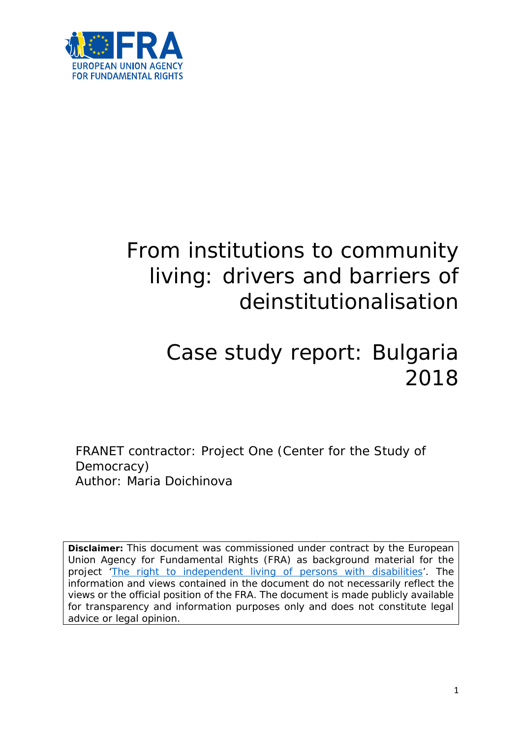

# From institutions to community living: drivers and barriers of deinstitutionalisation

# Case study report: Bulgaria 2018

FRANET contractor: Project One (Center for the Study of Democracy) Author: Maria Doichinova

**Disclaimer:** This document was commissioned under contract by the European Union Agency for Fundamental Rights (FRA) as background material for the project ['The right to independent living of persons with disabilities'](http://fra.europa.eu/en/project/2014/right-independent-living-persons-disabilities). The information and views contained in the document do not necessarily reflect the views or the official position of the FRA. The document is made publicly available for transparency and information purposes only and does not constitute legal advice or legal opinion.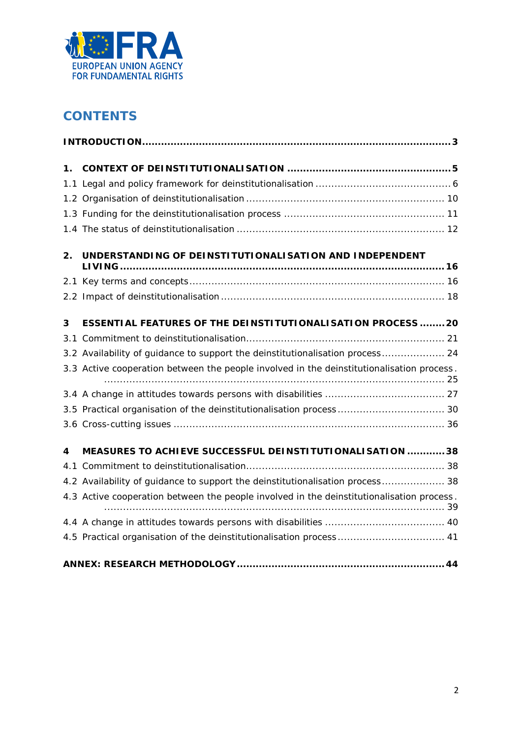

# **CONTENTS**

| 1. |                                                                                           |  |  |  |  |
|----|-------------------------------------------------------------------------------------------|--|--|--|--|
|    |                                                                                           |  |  |  |  |
|    |                                                                                           |  |  |  |  |
|    |                                                                                           |  |  |  |  |
|    |                                                                                           |  |  |  |  |
| 2. | UNDERSTANDING OF DEINSTITUTIONALISATION AND INDEPENDENT                                   |  |  |  |  |
|    |                                                                                           |  |  |  |  |
|    |                                                                                           |  |  |  |  |
| 3  | <b>ESSENTIAL FEATURES OF THE DEINSTITUTIONALISATION PROCESS 20</b>                        |  |  |  |  |
|    |                                                                                           |  |  |  |  |
|    | 3.2 Availability of guidance to support the deinstitutionalisation process 24             |  |  |  |  |
|    | 3.3 Active cooperation between the people involved in the deinstitutionalisation process. |  |  |  |  |
|    |                                                                                           |  |  |  |  |
|    | 3.5 Practical organisation of the deinstitutionalisation process  30                      |  |  |  |  |
|    |                                                                                           |  |  |  |  |
| 4  | MEASURES TO ACHIEVE SUCCESSFUL DEINSTITUTIONALISATION  38                                 |  |  |  |  |
|    |                                                                                           |  |  |  |  |
|    | 4.2 Availability of guidance to support the deinstitutionalisation process 38             |  |  |  |  |
|    | 4.3 Active cooperation between the people involved in the deinstitutionalisation process. |  |  |  |  |
|    |                                                                                           |  |  |  |  |
|    | 4.5 Practical organisation of the deinstitutionalisation process  41                      |  |  |  |  |
|    |                                                                                           |  |  |  |  |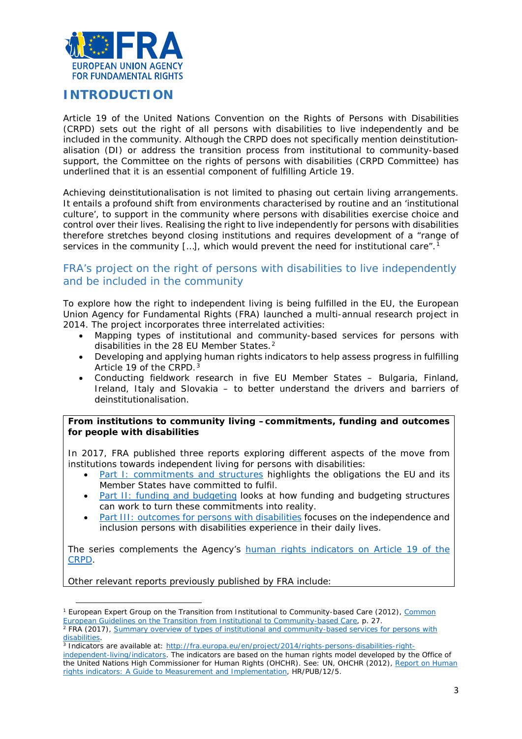

# <span id="page-2-0"></span>**INTRODUCTION**

Article 19 of the United Nations Convention on the Rights of Persons with Disabilities (CRPD) sets out the right of all persons with disabilities to live independently and be included in the community. Although the CRPD does not specifically mention deinstitutionalisation (DI) or address the transition process from institutional to community-based support, the Committee on the rights of persons with disabilities (CRPD Committee) has underlined that it is an essential component of fulfilling Article 19.

Achieving deinstitutionalisation is not limited to phasing out certain living arrangements. It entails a profound shift from environments characterised by routine and an 'institutional culture', to support in the community where persons with disabilities exercise choice and control over their lives. Realising the right to live independently for persons with disabilities therefore stretches beyond closing institutions and requires development of a "range of services in the community  $[...]$ , which would prevent the need for institutional care".<sup>[1](#page-2-1)</sup>

# FRA's project on the right of persons with disabilities to live independently and be included in the community

To explore how the right to independent living is being fulfilled in the EU, the European Union Agency for Fundamental Rights (FRA) launched a multi-annual research project in 2014. The project incorporates three interrelated activities:

- Mapping types of institutional and community-based services for persons with disabilities in the [2](#page-2-2)8 EU Member States.<sup>2</sup>
- Developing and applying human rights indicators to help assess progress in fulfilling Article 19 of the CRPD.<sup>[3](#page-2-3)</sup>
- Conducting fieldwork research in five EU Member States Bulgaria, Finland, Ireland, Italy and Slovakia – to better understand the drivers and barriers of deinstitutionalisation.

#### **From institutions to community living –commitments, funding and outcomes for people with disabilities**

In 2017, FRA published three reports exploring different aspects of the move from institutions towards independent living for persons with disabilities:

- [Part I: commitments and structures](http://fra.europa.eu/en/publication/2017/independent-living-structures) highlights the obligations the EU and its Member States have committed to fulfil.
- [Part II: funding and budgeting](http://fra.europa.eu/en/publication/2017/independent-living-funding) looks at how funding and budgeting structures can work to turn these commitments into reality.
- [Part III: outcomes for persons with disabilities](http://fra.europa.eu/en/publication/2017/independent-living-outcomes) focuses on the independence and inclusion persons with disabilities experience in their daily lives.

The series complements the Agency's [human rights indicators on Article 19 of the](http://fra.europa.eu/en/publication/2017/indicators-article-19-crpd)  [CRPD.](http://fra.europa.eu/en/publication/2017/indicators-article-19-crpd)

Other relevant reports previously published by FRA include:

l

<span id="page-2-1"></span><sup>1</sup> European Expert Group on the Transition from Institutional to Community-based Care (2012), *[Common](http://www.deinstitutionalisationguide.eu/)  [European Guidelines on the Transition from Institutional to Community-based Care](http://www.deinstitutionalisationguide.eu/)*, p. 27.

<span id="page-2-2"></span><sup>2</sup> FRA (2017), *[Summary overview of types of institutional and community-based services for persons with](http://fra.europa.eu/sites/default/files/fra_uploads/2017-10-independent-living-mapping-paper_en.pdf)  [disabilities.](http://fra.europa.eu/sites/default/files/fra_uploads/2017-10-independent-living-mapping-paper_en.pdf)*

<sup>3</sup> Indicators are available at: [http://fra.europa.eu/en/project/2014/rights-persons-disabilities-right-](http://fra.europa.eu/en/project/2014/rights-persons-disabilities-right-independent-living/indicators)

<span id="page-2-3"></span>[independent-living/indicators.](http://fra.europa.eu/en/project/2014/rights-persons-disabilities-right-independent-living/indicators) The indicators are based on the human rights model developed by the Office of the United Nations High Commissioner for Human Rights (OHCHR). See: UN, OHCHR (2012), *[Report on Human](http://www.ohchr.org/Documents/Publications/Human_rights_indicators_en.pdf)  [rights indicators: A Guide to Measurement and Implementation](http://www.ohchr.org/Documents/Publications/Human_rights_indicators_en.pdf)*, HR/PUB/12/5.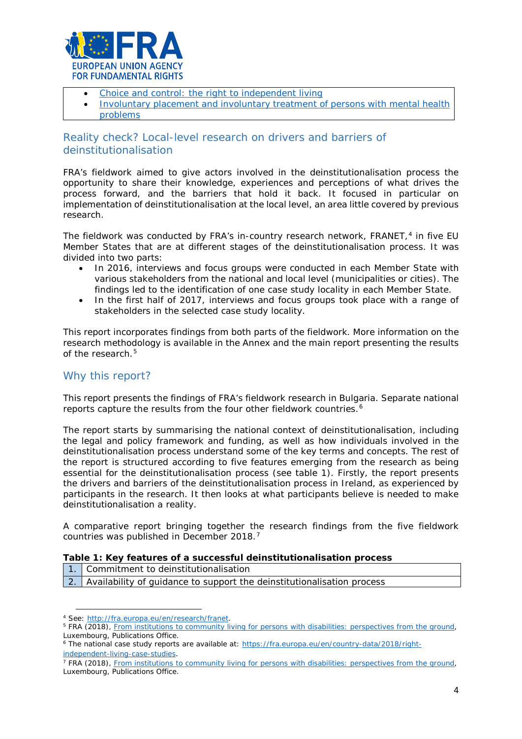

- [Choice and control: the right to independent living](http://fra.europa.eu/en/publication/2012/choice-and-control-right-independent-living)
- [Involuntary placement and involuntary treatment of persons with mental health](http://fra.europa.eu/en/publication/2012/involuntary-placement-and-involuntary-treatment-persons-mental-health-problems) [problems](http://fra.europa.eu/en/publication/2012/involuntary-placement-and-involuntary-treatment-persons-mental-health-problems)

# Reality check? Local-level research on drivers and barriers of deinstitutionalisation

FRA's fieldwork aimed to give actors involved in the deinstitutionalisation process the opportunity to share their knowledge, experiences and perceptions of what drives the process forward, and the barriers that hold it back. It focused in particular on implementation of deinstitutionalisation at the local level, an area little covered by previous research.

The fieldwork was conducted by FRA's in-country research network, FRANET, $4$  in five EU Member States that are at different stages of the deinstitutionalisation process. It was divided into two parts:

- In 2016, interviews and focus groups were conducted in each Member State with various stakeholders from the national and local level (municipalities or cities). The findings led to the identification of one case study locality in each Member State.
- In the first half of 2017, interviews and focus groups took place with a range of stakeholders in the selected case study locality.

This report incorporates findings from both parts of the fieldwork. More information on the research methodology is available in the Annex and the main report presenting the results of the research  $5$ 

# Why this report?

This report presents the findings of FRA's fieldwork research in Bulgaria. Separate national reports capture the results from the four other fieldwork countries.<sup>[6](#page-3-2)</sup>

The report starts by summarising the national context of deinstitutionalisation, including the legal and policy framework and funding, as well as how individuals involved in the deinstitutionalisation process understand some of the key terms and concepts. The rest of the report is structured according to five features emerging from the research as being essential for the deinstitutionalisation process (see table 1). Firstly, the report presents the drivers and barriers of the deinstitutionalisation process in Ireland, as experienced by participants in the research. It then looks at what participants believe is needed to make deinstitutionalisation a reality.

A comparative report bringing together the research findings from the five fieldwork countries was published in December 2018.[7](#page-3-3)

- 1. Commitment to deinstitutionalisation
- 2. Availability of guidance to support the deinstitutionalisation process

 $\overline{a}$ 

<span id="page-3-1"></span><span id="page-3-0"></span><sup>4</sup> See: [http://fra.europa.eu/en/research/franet.](http://fra.europa.eu/en/research/franet)<br><sup>5</sup> FRA (2018), *[From institutions to community living for persons with disabilities: perspectives from the ground](http://fra.europa.eu/en/publication/2018/independent-living-reality),* Luxembourg, Publications Office.

<span id="page-3-2"></span><sup>&</sup>lt;sup>6</sup> The national case study reports are available at: [https://fra.europa.eu/en/country-data/2018/right](https://fra.europa.eu/en/country-data/2018/right-independent-living-case-studies)[independent-living-case-studies](https://fra.europa.eu/en/country-data/2018/right-independent-living-case-studies).

<span id="page-3-3"></span><sup>7</sup> FRA (2018), *[From institutions to community living for persons with disabilities: perspectives from the ground](http://fra.europa.eu/en/publication/2018/independent-living-reality)*, Luxembourg, Publications Office.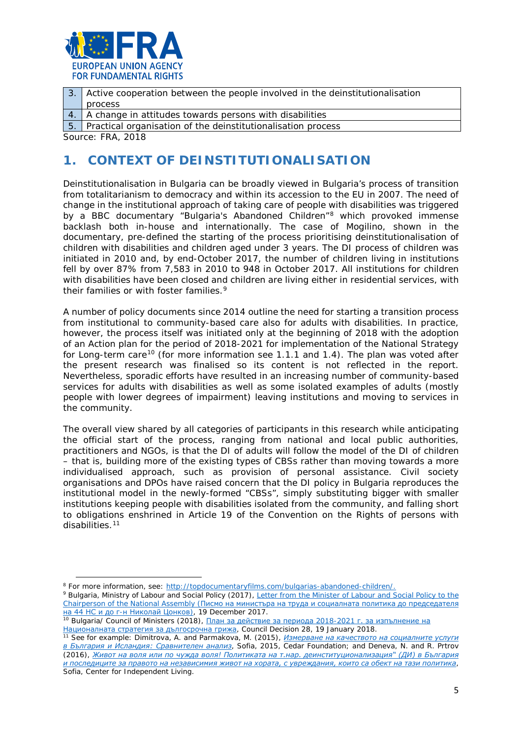

| 3. Active cooperation between the people involved in the deinstitutionalisation |
|---------------------------------------------------------------------------------|
| process                                                                         |

4. A change in attitudes towards persons with disabilities

5. Practical organisation of the deinstitutionalisation process

<span id="page-4-0"></span>*Source: FRA, 2018*

 $\overline{a}$ 

# **1. CONTEXT OF DEINSTITUTIONALISATION**

Deinstitutionalisation in Bulgaria can be broadly viewed in Bulgaria's process of transition from totalitarianism to democracy and within its accession to the EU in 2007. The need of change in the institutional approach of taking care of people with disabilities was triggered by a BBC documentary "Bulgaria's Abandoned Children"<sup>[8](#page-4-1)</sup> which provoked immense backlash both in-house and internationally. The case of Mogilino, shown in the documentary, pre-defined the starting of the process prioritising deinstitutionalisation of children with disabilities and children aged under 3 years. The DI process of children was initiated in 2010 and, by end-October 2017, the number of children living in institutions fell by over 87% from 7,583 in 2010 to 948 in October 2017. All institutions for children with disabilities have been closed and children are living either in residential services, with their families or with foster families.[9](#page-4-2)

A number of policy documents since 2014 outline the need for starting a transition process from institutional to community-based care also for adults with disabilities. In practice, however, the process itself was initiated only at the beginning of 2018 with the adoption of an Action plan for the period of 2018-2021 for implementation of the National Strategy for Long-term care<sup>[10](#page-4-3)</sup> (for more information see 1.1.1 and 1.4). The plan was voted after the present research was finalised so its content is not reflected in the report. Nevertheless, sporadic efforts have resulted in an increasing number of community-based services for adults with disabilities as well as some isolated examples of adults (mostly people with lower degrees of impairment) leaving institutions and moving to services in the community.

The overall view shared by all categories of participants in this research while anticipating the official start of the process, ranging from national and local public authorities, practitioners and NGOs, is that the DI of adults will follow the model of the DI of children – that is, building more of the existing types of CBSs rather than moving towards a more individualised approach, such as provision of personal assistance. Civil society organisations and DPOs have raised concern that the DI policy in Bulgaria reproduces the institutional model in the newly-formed "CBSs", simply substituting bigger with smaller institutions keeping people with disabilities isolated from the community, and falling short to obligations enshrined in Article 19 of the Convention on the Rights of persons with disabilities.<sup>[11](#page-4-4)</sup>

<span id="page-4-1"></span><sup>8</sup> For more information, see: [http://topdocumentaryfilms.com/bulgarias-abandoned-children/.](http://topdocumentaryfilms.com/bulgarias-abandoned-children/)

<span id="page-4-2"></span><sup>9</sup> Bulgaria, Ministry of Labour and Social Policy (2017), [Letter from the Minister of Labour and Social Policy to the](http://www.parliament.bg/pub/PK/285465754-06-894.pdf)  Chairperson of the National Assembly ([Писмо на министъра на труда и социалната политика до председателя](http://www.parliament.bg/pub/PK/285465754-06-894.pdf)  <u>на 44 НС и до г-[н Николай Цонков](http://www.parliament.bg/pub/PK/285465754-06-894.pdf))</u>, 19 December 2017.

<span id="page-4-3"></span><sup>1</sup>º Bulgaria/ Council of Ministers (2018), <u>[План за действие за периода 2018](https://www.mlsp.government.bg/ckfinder/userfiles/files/politiki/socialni%20uslugi/deinstitucionalizaciq%20na%20grijata%20za%20vuzrastni%20hora%20i%20hora%20s%20uvrejdaniq/Plan_LTC.pdf)-2021 г. за изпълнение на</u> [Националната стратегия за дългосрочна грижа](https://www.mlsp.government.bg/ckfinder/userfiles/files/politiki/socialni%20uslugi/deinstitucionalizaciq%20na%20grijata%20za%20vuzrastni%20hora%20i%20hora%20s%20uvrejdaniq/Plan_LTC.pdf), Council Decision 28, 19 January 2018.

<span id="page-4-4"></span><sup>11</sup> See for example: Dimitrova, A. and Parmakova, M. (2015), *[Измерване на качеството на социалните услуги](http://www.ngobg.info/bg/documents/7154/1639_final.pdf)  [в България и Исландия: Сравнителен анализ](http://www.ngobg.info/bg/documents/7154/1639_final.pdf)*, Sofia, 2015, Cedar Foundation; and Deneva, N. and R. Prtrov (2016), *[Живот на воля или по чужда воля! Политиката на](http://www.cil.bg/userfiles/nabliudatelnitsa/Report-DI-Final.pdf) т.нар. деинституционализация" (ДИ) в България [и последиците за правото на независимия живот на хората, с увреждания, които са обект на тази политика](http://www.cil.bg/userfiles/nabliudatelnitsa/Report-DI-Final.pdf)*, Sofia, Center for Independent Living.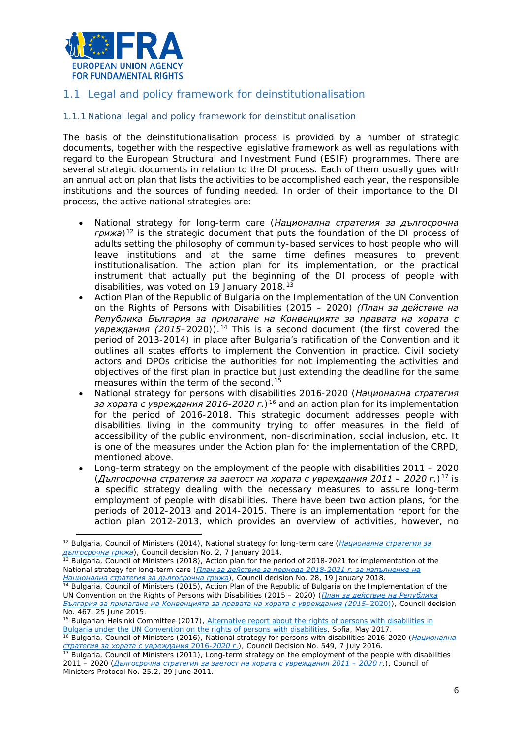

# <span id="page-5-0"></span>1.1 Legal and policy framework for deinstitutionalisation

#### 1.1.1 National legal and policy framework for deinstitutionalisation

The basis of the deinstitutionalisation process is provided by a number of strategic documents, together with the respective legislative framework as well as regulations with regard to the European Structural and Investment Fund (ESIF) programmes. There are several strategic documents in relation to the DI process. Each of them usually goes with an annual action plan that lists the activities to be accomplished each year, the responsible institutions and the sources of funding needed. In order of their importance to the DI process, the active national strategies are:

- National strategy for long-term care (*Национална стратегия за дългосрочна грижа*)[12](#page-5-1) is the strategic document that puts the foundation of the DI process of adults setting the philosophy of community-based services to host people who will leave institutions and at the same time defines measures to prevent institutionalisation. The action plan for its implementation, or the practical instrument that actually put the beginning of the DI process of people with disabilities, was voted on 19 January 2018.[13](#page-5-2)
- Action Plan of the Republic of Bulgaria on the Implementation of the UN Convention on the Rights of Persons with Disabilities (2015 – 2020) *(План за действие на Република България за прилагане на Конвенцията за правата на хората с увреждания (2015–2020)).[14](#page-5-3)* This is a second document (the first covered the period of 2013-2014) in place after Bulgaria's ratification of the Convention and it outlines all states efforts to implement the Convention in practice. Civil society actors and DPOs criticise the authorities for not implementing the activities and objectives of the first plan in practice but just extending the deadline for the same measures within the term of the second.<sup>[15](#page-5-4)</sup>
- National strategy for persons with disabilities 2016-2020 (*Национална стратегия за хората с увреждания 2016-2020 г.*)[16](#page-5-5) and an action plan for its implementation for the period of 2016-2018. This strategic document addresses people with disabilities living in the community trying to offer measures in the field of accessibility of the public environment, non-discrimination, social inclusion, etc. It is one of the measures under the Action plan for the implementation of the CRPD, mentioned above.
- Long-term strategy on the employment of the people with disabilities 2011 2020 (*Дългосрочна стратегия за заетост на хората с увреждания 2011 – 2020 г.*)[17](#page-5-6) is a specific strategy dealing with the necessary measures to assure long-term employment of people with disabilities. There have been two action plans, for the periods of 2012-2013 and 2014-2015. There is an implementation report for the action plan 2012-2013, which provides an overview of activities, however, no

<span id="page-5-2"></span><sup>13</sup> Bulgaria, Council of Ministers (2018), *Action plan for the period of 2018-2021 for implementation of the National strategy for long-term care ([План за действие за периода 2018](https://www.mlsp.government.bg/ckfinder/userfiles/files/politiki/socialni%20uslugi/deinstitucionalizaciq%20na%20grijata%20za%20vuzrastni%20hora%20i%20hora%20s%20uvrejdaniq/Plan_LTC.pdf)-2021 г. за изпълнение на [Национална стратегия за дългосрочна грижа](https://www.mlsp.government.bg/ckfinder/userfiles/files/politiki/socialni%20uslugi/deinstitucionalizaciq%20na%20grijata%20za%20vuzrastni%20hora%20i%20hora%20s%20uvrejdaniq/Plan_LTC.pdf)*), Council decision No. 28, 19 January 2018.

<span id="page-5-4"></span><sup>15</sup> Bulgarian Helsinki Committee (2017), *Alternative report about the rights of persons with disabilities in [Bulgaria under the UN Convention on the rights of persons with disabilities](http://tbinternet.ohchr.org/Treaties/CRPD/Shared%20Documents/BGR/INT_CRPD_ICO_BGR_27646_E.pdf)*, Sofia, May 2017.

<span id="page-5-5"></span><sup>16</sup> Bulgaria, Council of Ministers (2016), *National strategy for persons with disabilities 2016-2020* (*[Национална](http://www.strategy.bg/FileHandler.ashx?fileId=9439)* <u>стратегия за хората с увреждания 2016-2020</u> г.[\)](http://www.strategy.bg/FileHandler.ashx?fileId=9439), Council Decision No. 549, 7 July 2016.<br><sup>17</sup> Bulgaria, Council of Ministers (2011), Long-term strategy on the employment of the people with disabilities

<span id="page-5-1"></span><sup>12</sup> Bulgaria, Council of Ministers (2014), *National strategy for long-term care* (*[Национална стратегия за](http://www.strategy.bg/FileHandler.ashx?fileId=9432)  [дългосрочна грижа](http://www.strategy.bg/FileHandler.ashx?fileId=9432)*), Council decision No. 2, 7 January 2014.

<span id="page-5-3"></span><sup>14</sup> Bulgaria, Council of Ministers (2015), *Action Plan of the Republic of Bulgaria on the Implementation of the UN Convention on the Rights of Persons with Disabilities (2015 – 2020) ([План за действие на Република](http://www.strategy.bg/FileHandler.ashx?fileId=9440)  България за прилагане на Конвенцията [за правата на хората с увреждания \(2015](http://www.strategy.bg/FileHandler.ashx?fileId=9440)–2020)*), Council decision

<span id="page-5-6"></span>*<sup>2011 –</sup> 2020 ([Дългосрочна стратегия за заетост на хората с увреждания 2011](http://www.strategy.bg/StrategicDocuments/View.aspx?lang=bg-BG&Id=705) – 2020 г.)*, Council of Ministers Protocol No. 25.2, 29 June 2011.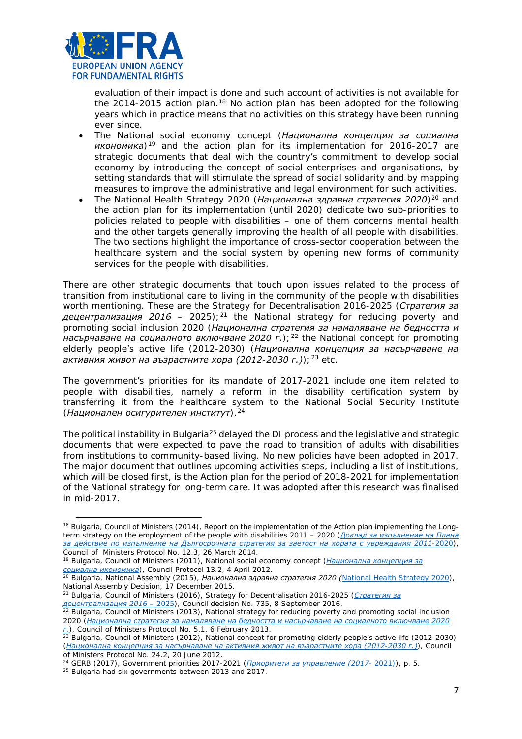

evaluation of their impact is done and such account of activities is not available for the 2014-2015 action plan.<sup>[18](#page-6-0)</sup> No action plan has been adopted for the following years which in practice means that no activities on this strategy have been running ever since.

- The National social economy concept (*Национална концепция за социална икономика*)[19](#page-6-1) and the action plan for its implementation for 2016-2017 are strategic documents that deal with the country's commitment to develop social economy by introducing the concept of social enterprises and organisations, by setting standards that will stimulate the spread of social solidarity and by mapping measures to improve the administrative and legal environment for such activities.
- The National Health Strategy 2020 (*Национална здравна стратегия 2020*)[20](#page-6-2) and the action plan for its implementation (until 2020) dedicate two sub-priorities to policies related to people with disabilities – one of them concerns mental health and the other targets generally improving the health of all people with disabilities. The two sections highlight the importance of cross-sector cooperation between the healthcare system and the social system by opening new forms of community services for the people with disabilities.

There are other strategic documents that touch upon issues related to the process of transition from institutional care to living in the community of the people with disabilities worth mentioning. These are the Strategy for Decentralisation 2016-2025 (*Стратегия за децентрализация 2016 – 2025*);[21](#page-6-3) the National strategy for reducing poverty and promoting social inclusion 2020 (*Национална стратегия за намаляване на бедността и насърчаване на социалното включване 2020 г.*);<sup>[22](#page-6-4)</sup> the National concept for promoting elderly people's active life (2012-2030) (*Национална концепция за насърчаване на активния живот на възрастните хора (2012-2030 г.)*);[23](#page-6-5) etc.

The government's priorities for its mandate of 2017-2021 include one item related to people with disabilities, namely a reform in the disability certification system by transferring it from the healthcare system to the National Social Security Institute (*Национален осигурителен институт*).[24](#page-6-6)

The political instability in Bulgaria<sup>[25](#page-6-7)</sup> delayed the DI process and the legislative and strategic documents that were expected to pave the road to transition of adults with disabilities from institutions to community-based living. No new policies have been adopted in 2017. The major document that outlines upcoming activities steps, including a list of institutions, which will be closed first, is the Action plan for the period of 2018-2021 for implementation of the National strategy for long-term care. It was adopted after this research was finalised in mid-2017.

 $\overline{a}$ 

<span id="page-6-0"></span><sup>&</sup>lt;sup>18</sup> Bulgaria, Council of Ministers (2014), *Report on the implementation of the Action plan implementing the Longterm strategy on the employment of the people with disabilities 2011 – 2020 ([Доклад за изпълнение на Плана](http://www.strategy.bg/FileHandler.ashx?fileId=4635)  [за действие по изпълнение на Дългосрочната стратегия за заетост на хората с увреждания 2011](http://www.strategy.bg/FileHandler.ashx?fileId=4635)-2020)*, Council of Ministers Protocol No. 12.3, 26 March 2014.

<sup>19</sup> Bulgaria, Council of Ministers (2011), National social economy concept (*[Национална концепция за](http://www.strategy.bg/StrategicDocuments/View.aspx?lang=bg-BG&Id=889)* 

<span id="page-6-2"></span><span id="page-6-1"></span>*социална икономика*[\)](http://www.strategy.bg/StrategicDocuments/View.aspx?lang=bg-BG&Id=889), Council Protocol 13.2, 4 April 2012. 20 Bulgaria, National Assembly (2015), *Национална здравна стратегия 2020 ([National Health Strategy 2020\)](http://www.strategy.bg/StrategicDocuments/View.aspx?lang=bg-BG&Id=989)*, National Assembly Decision, 17 December 2015.

<sup>21</sup> Bulgaria, Council of Ministers (2016), *Strategy for Decentralisation 2016-2025 ([Стратегия за](http://www.strategy.bg/StrategicDocuments/View.aspx?lang=bg-BG&Id=1155)* 

<span id="page-6-4"></span><span id="page-6-3"></span>*децентрализация 2016 – 2025)*, Council decision No. 735, 8 September 2016. 22 Bulgaria, Council of Ministers (2013), *National strategy for reducing poverty and promoting social inclusion 2020 ([Национална стратегия за намаляване на бедността и насърчаване на социалното включване 2020](http://www.strategy.bg/StrategicDocuments/View.aspx?lang=bg-BG&Id=790)* 

<span id="page-6-5"></span>*r.*), Council of Ministers Protocol No. 5.1, 6 February 2013.<br><sup>23</sup> Bulgaria, Council of Ministers (2012), *National concept for promoting elderly people's active life (2012-2030) ([Национална концепция за насърчаване на активния живот на възрастните хора \(2012](http://www.strategy.bg/StrategicDocuments/View.aspx?lang=bg-BG&Id=764)-2030 г.)),* Council of Ministers Protocol No. 24.2, 20 June 2012.

<span id="page-6-6"></span><sup>24</sup> GERB (2017), *Government priorities 2017-2021 ([Приоритети за управление \(2017](http://gerb.bg/bg/pages/prioriteti-125.html)- 2021))*, p. 5.

<span id="page-6-7"></span><sup>25</sup> Bulgaria had six governments between 2013 and 2017.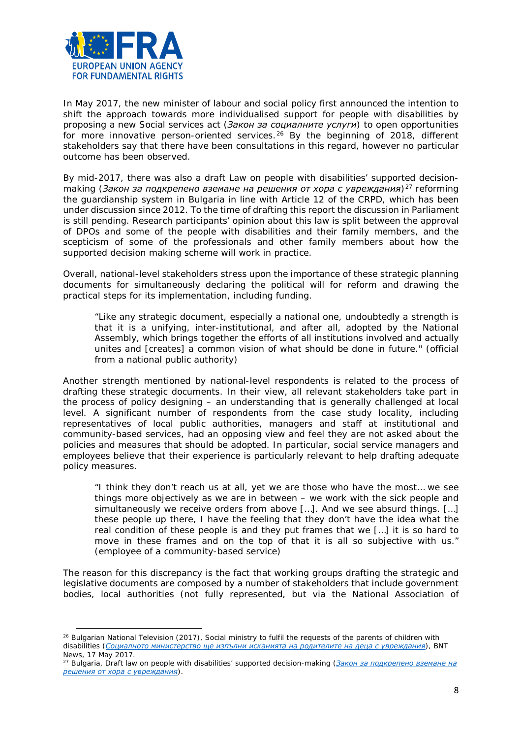

l

In May 2017, the new minister of labour and social policy first announced the intention to shift the approach towards more individualised support for people with disabilities by proposing a new Social services act (*Закон за социалните услуги*) to open opportunities for more innovative person-oriented services.<sup>[26](#page-7-0)</sup> By the beginning of 2018, different stakeholders say that there have been consultations in this regard, however no particular outcome has been observed.

By mid-2017, there was also a draft Law on people with disabilities' supported decisionmaking (*Закон за подкрепено вземане на решения от хора с увреждания*)[27](#page-7-1) reforming the guardianship system in Bulgaria in line with Article 12 of the CRPD, which has been under discussion since 2012. To the time of drafting this report the discussion in Parliament is still pending. Research participants' opinion about this law is split between the approval of DPOs and some of the people with disabilities and their family members, and the scepticism of some of the professionals and other family members about how the supported decision making scheme will work in practice.

Overall, national-level stakeholders stress upon the importance of these strategic planning documents for simultaneously declaring the political will for reform and drawing the practical steps for its implementation, including funding.

*"Like any strategic document, especially a national one, undoubtedly a strength is that it is a unifying, inter-institutional, and after all, adopted by the National Assembly, which brings together the efforts of all institutions involved and actually unites and [creates] a common vision of what should be done in future."* (official from a national public authority)

Another strength mentioned by national-level respondents is related to the process of drafting these strategic documents. In their view, all relevant stakeholders take part in the process of policy designing – an understanding that is generally challenged at local level. A significant number of respondents from the case study locality, including representatives of local public authorities, managers and staff at institutional and community-based services, had an opposing view and feel they are not asked about the policies and measures that should be adopted. In particular, social service managers and employees believe that their experience is particularly relevant to help drafting adequate policy measures.

*"I think they don't reach us at all, yet we are those who have the most… we see things more objectively as we are in between – we work with the sick people and simultaneously we receive orders from above […]. And we see absurd things. […] these people up there, I have the feeling that they don't have the idea what the real condition of these people is and they put frames that we […] it is so hard to move in these frames and on the top of that it is all so subjective with us."* (employee of a community-based service)

The reason for this discrepancy is the fact that working groups drafting the strategic and legislative documents are composed by a number of stakeholders that include government bodies, local authorities (not fully represented, but via the National Association of

<span id="page-7-0"></span><sup>26</sup> Bulgarian National Television (2017), *Social ministry to fulfil the requests of the parents of children with disabilities ([Социалното министерство ще изпълни исканията на родителите на деца с увреждания](http://news.bnt.bg/bg/a/sotsialnoto-ministerstvo-shche-izplni-iskaniyata-na-roditelite-na-detsa-s-uvrezhdaniya))*, BNT News, 17 May 2017.

<span id="page-7-1"></span><sup>27</sup> Bulgaria, *Draft law on people with disabilities' supported decision-making ([Закон за подкрепено вземане на](http://ahu.mlsp.government.bg/portal/document/7749)  [решения от хора с увреждания](http://ahu.mlsp.government.bg/portal/document/7749)*).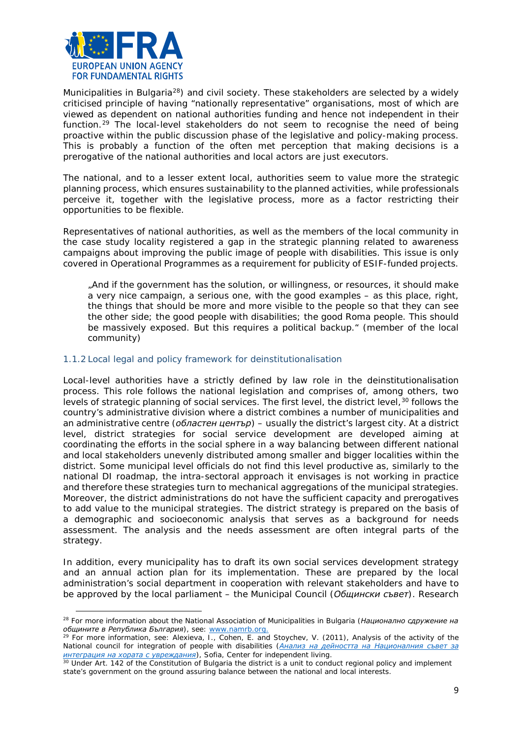

l

Municipalities in Bulgaria<sup>[28](#page-8-0)</sup>) and civil society. These stakeholders are selected by a widely criticised principle of having "nationally representative" organisations, most of which are viewed as dependent on national authorities funding and hence not independent in their function.[29](#page-8-1) The local-level stakeholders do not seem to recognise the need of being proactive within the public discussion phase of the legislative and policy-making process. This is probably a function of the often met perception that making decisions is a prerogative of the national authorities and local actors are just executors.

The national, and to a lesser extent local, authorities seem to value more the strategic planning process, which ensures sustainability to the planned activities, while professionals perceive it, together with the legislative process, more as a factor restricting their opportunities to be flexible.

Representatives of national authorities, as well as the members of the local community in the case study locality registered a gap in the strategic planning related to awareness campaigns about improving the public image of people with disabilities. This issue is only covered in Operational Programmes as a requirement for publicity of ESIF-funded projects.

*"And if the government has the solution, or willingness, or resources, it should make a very nice campaign, a serious one, with the good examples – as this place, right, the things that should be more and more visible to the people so that they can see the other side; the good people with disabilities; the good Roma people. This should be massively exposed. But this requires a political backup."* (member of the local community)

#### 1.1.2 Local legal and policy framework for deinstitutionalisation

Local-level authorities have a strictly defined by law role in the deinstitutionalisation process. This role follows the national legislation and comprises of, among others, two levels of strategic planning of social services. The first level, the district level, <sup>[30](#page-8-2)</sup> follows the country's administrative division where a district combines a number of municipalities and an administrative centre (*областен център*) – usually the district's largest city. At a district level, district strategies for social service development are developed aiming at coordinating the efforts in the social sphere in a way balancing between different national and local stakeholders unevenly distributed among smaller and bigger localities within the district. Some municipal level officials do not find this level productive as, similarly to the national DI roadmap, the intra-sectoral approach it envisages is not working in practice and therefore these strategies turn to mechanical aggregations of the municipal strategies. Moreover, the district administrations do not have the sufficient capacity and prerogatives to add value to the municipal strategies. The district strategy is prepared on the basis of a demographic and socioeconomic analysis that serves as a background for needs assessment. The analysis and the needs assessment are often integral parts of the strategy.

In addition, every municipality has to draft its own social services development strategy and an annual action plan for its implementation. These are prepared by the local administration's social department in cooperation with relevant stakeholders and have to be approved by the local parliament – the Municipal Council (*Общински съвет*). Research

<span id="page-8-0"></span><sup>28</sup> For more information about the National Association of Municipalities in Bulgaria (*Национално сдружение на общините в Република България*), see: [www.namrb.org.](http://www.namrb.org/)

<span id="page-8-1"></span><sup>29</sup> For more information, see: Alexieva, I., Cohen, E. and Stoychev, V. (2011), *Analysis of the activity of the National council for integration of people with disabilities* (*[Анализ на дейността на Националния съвет за](http://cil.bg/userfiles/nabliudatelnitsa/Report-NSIHU-2011_final.pdf)  [интеграция на хората с увреждания](http://cil.bg/userfiles/nabliudatelnitsa/Report-NSIHU-2011_final.pdf)*), Sofia, Center for independent living.

<span id="page-8-2"></span><sup>&</sup>lt;sup>30</sup> Under Art. 142 of the Constitution of Bulgaria the district is a unit to conduct regional policy and implement state's government on the ground assuring balance between the national and local interests.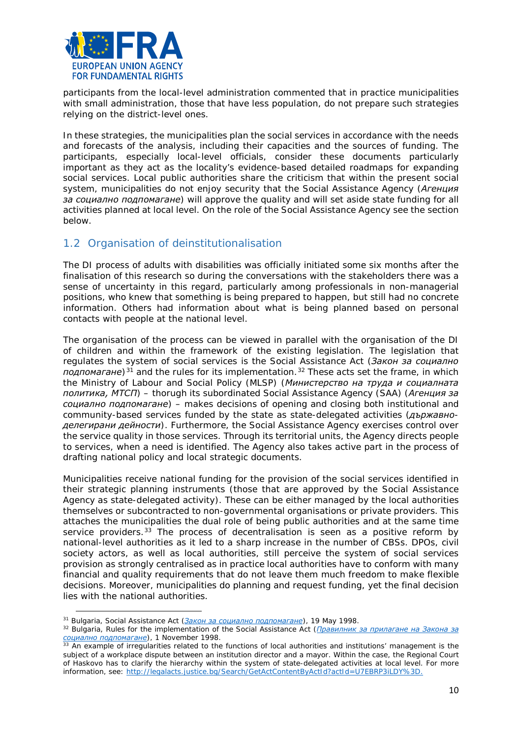

participants from the local-level administration commented that in practice municipalities with small administration, those that have less population, do not prepare such strategies relying on the district-level ones.

In these strategies, the municipalities plan the social services in accordance with the needs and forecasts of the analysis, including their capacities and the sources of funding. The participants, especially local-level officials, consider these documents particularly important as they act as the locality's evidence-based detailed roadmaps for expanding social services. Local public authorities share the criticism that within the present social system, municipalities do not enjoy security that the Social Assistance Agency (*Агенция за социално подпомагане*) will approve the quality and will set aside state funding for all activities planned at local level. On the role of the Social Assistance Agency see the section below.

# <span id="page-9-0"></span>1.2 Organisation of deinstitutionalisation

The DI process of adults with disabilities was officially initiated some six months after the finalisation of this research so during the conversations with the stakeholders there was a sense of uncertainty in this regard, particularly among professionals in non-managerial positions, who knew that something is being prepared to happen, but still had no concrete information. Others had information about what is being planned based on personal contacts with people at the national level.

The organisation of the process can be viewed in parallel with the organisation of the DI of children and within the framework of the existing legislation. The legislation that regulates the system of social services is the Social Assistance Act (*Закон за социално подпомагане*)[31](#page-9-1) and the rules for its implementation.[32](#page-9-2) These acts set the frame, in which the Ministry of Labour and Social Policy (MLSP) (*Министерство на труда и социалната политика, МТСП*) – thorugh its subordinated Social Assistance Agency (SAA) (*Агенция за социално подпомагане*) – makes decisions of opening and closing both institutional and community-based services funded by the state as state-delegated activities (*държавноделегирани дейности*). Furthermore, the Social Assistance Agency exercises control over the service quality in those services. Through its territorial units, the Agency directs people to services, when a need is identified. The Agency also takes active part in the process of drafting national policy and local strategic documents.

Municipalities receive national funding for the provision of the social services identified in their strategic planning instruments (those that are approved by the Social Assistance Agency as state-delegated activity). These can be either managed by the local authorities themselves or subcontracted to non-governmental organisations or private providers. This attaches the municipalities the dual role of being public authorities and at the same time service providers. $33$  The process of decentralisation is seen as a positive reform by national-level authorities as it led to a sharp increase in the number of CBSs. DPOs, civil society actors, as well as local authorities, still perceive the system of social services provision as strongly centralised as in practice local authorities have to conform with many financial and quality requirements that do not leave them much freedom to make flexible decisions. Moreover, municipalities do planning and request funding, yet the final decision lies with the national authorities.

l

<span id="page-9-2"></span><span id="page-9-1"></span><sup>31</sup> Bulgaria, Social Assistance Act *(Закон за социално подпомагане*), 19 May 1998. 32 Bulgaria, Rules for the implementation of the Social Assistance Act *([Правилник за прилагане на Закона за](http://www.lex.bg/laws/ldoc/-13038592)  социално подпомагане)*, 1 November 1998. 33 An example of irregularities related to the functions of local authorities and institutions' management is the

<span id="page-9-3"></span>subject of a workplace dispute between an institution director and a mayor. Within the case, the Regional Court of Haskovo has to clarify the hierarchy within the system of state-delegated activities at local level. For more information, see: [http://legalacts.justice.bg/Search/GetActContentByActId?actId=U7EBRP3iLDY%3D.](http://legalacts.justice.bg/Search/GetActContentByActId?actId=U7EBRP3iLDY%3D)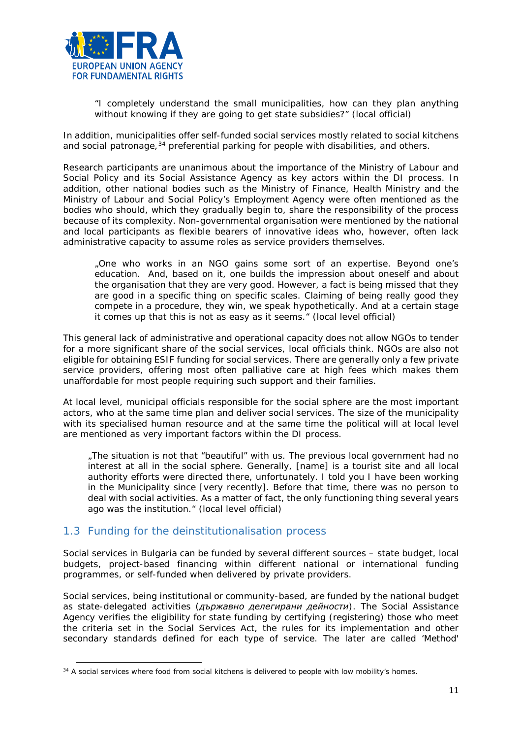

*"I completely understand the small municipalities, how can they plan anything without knowing if they are going to get state subsidies?"* (local official)

In addition, municipalities offer self-funded social services mostly related to social kitchens and social patronage,  $34$  preferential parking for people with disabilities, and others.

Research participants are unanimous about the importance of the Ministry of Labour and Social Policy and its Social Assistance Agency as key actors within the DI process. In addition, other national bodies such as the Ministry of Finance, Health Ministry and the Ministry of Labour and Social Policy's Employment Agency were often mentioned as the bodies who should, which they gradually begin to, share the responsibility of the process because of its complexity. Non-governmental organisation were mentioned by the national and local participants as flexible bearers of innovative ideas who, however, often lack administrative capacity to assume roles as service providers themselves.

"*One who works in an NGO gains some sort of an expertise. Beyond one's education. And, based on it, one builds the impression about oneself and about the organisation that they are very good. However, a fact is being missed that they are good in a specific thing on specific scales. Claiming of being really good they compete in a procedure, they win, we speak hypothetically. And at a certain stage it comes up that this is not as easy as it seems."* (local level official)

This general lack of administrative and operational capacity does not allow NGOs to tender for a more significant share of the social services, local officials think. NGOs are also not eligible for obtaining ESIF funding for social services. There are generally only a few private service providers, offering most often palliative care at high fees which makes them unaffordable for most people requiring such support and their families.

At local level, municipal officials responsible for the social sphere are the most important actors, who at the same time plan and deliver social services. The size of the municipality with its specialised human resource and at the same time the political will at local level are mentioned as very important factors within the DI process.

"*The situation is not that "beautiful" with us. The previous local government had no interest at all in the social sphere. Generally, [name] is a tourist site and all local authority efforts were directed there, unfortunately. I told you I have been working in the Municipality since [very recently]. Before that time, there was no person to deal with social activities. As a matter of fact, the only functioning thing several years ago was the institution.*" (local level official)

# <span id="page-10-0"></span>1.3 Funding for the deinstitutionalisation process

 $\overline{a}$ 

Social services in Bulgaria can be funded by several different sources – state budget, local budgets, project-based financing within different national or international funding programmes, or self-funded when delivered by private providers.

Social services, being institutional or community-based, are funded by the national budget as state-delegated activities (*държавно делегирани дейности*). The Social Assistance Agency verifies the eligibility for state funding by certifying (registering) those who meet the criteria set in the Social Services Act, the rules for its implementation and other secondary standards defined for each type of service. The later are called 'Method'

<span id="page-10-1"></span><sup>&</sup>lt;sup>34</sup> A social services where food from social kitchens is delivered to people with low mobility's homes.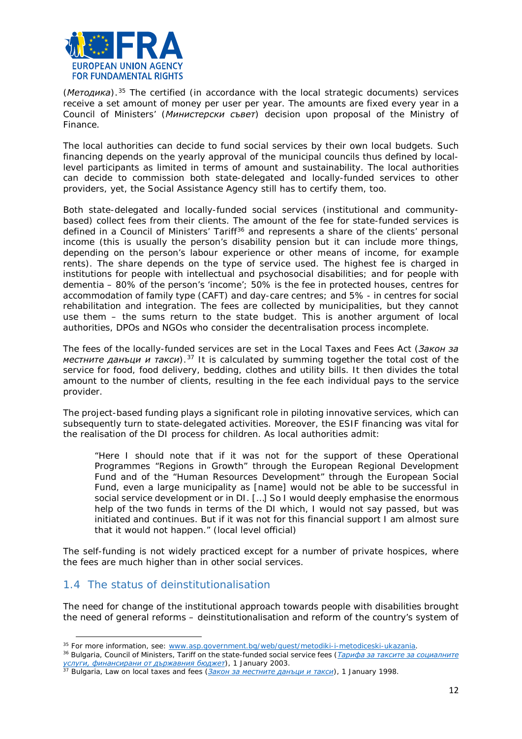

(*Методика*).[35](#page-11-1) The certified (in accordance with the local strategic documents) services receive a set amount of money per user per year. The amounts are fixed every year in a Council of Ministers' (*Министерски съвет*) decision upon proposal of the Ministry of Finance.

The local authorities can decide to fund social services by their own local budgets. Such financing depends on the yearly approval of the municipal councils thus defined by locallevel participants as limited in terms of amount and sustainability. The local authorities can decide to commission both state-delegated and locally-funded services to other providers, yet, the Social Assistance Agency still has to certify them, too.

Both state-delegated and locally-funded social services (institutional and communitybased) collect fees from their clients. The amount of the fee for state-funded services is defined in a Council of Ministers' Tariff<sup>[36](#page-11-2)</sup> and represents a share of the clients' personal income (this is usually the person's disability pension but it can include more things, depending on the person's labour experience or other means of income, for example rents). The share depends on the type of service used. The highest fee is charged in institutions for people with intellectual and psychosocial disabilities; and for people with dementia – 80% of the person's 'income'; 50% is the fee in protected houses, centres for accommodation of family type (CAFT) and day-care centres; and 5% - in centres for social rehabilitation and integration. The fees are collected by municipalities, but they cannot use them – the sums return to the state budget. This is another argument of local authorities, DPOs and NGOs who consider the decentralisation process incomplete.

The fees of the locally-funded services are set in the Local Taxes and Fees Act (*Закон за местните данъци и такси*).[37](#page-11-3) It is calculated by summing together the total cost of the service for food, food delivery, bedding, clothes and utility bills. It then divides the total amount to the number of clients, resulting in the fee each individual pays to the service provider.

The project-based funding plays a significant role in piloting innovative services, which can subsequently turn to state-delegated activities. Moreover, the ESIF financing was vital for the realisation of the DI process for children. As local authorities admit:

*"Here I should note that if it was not for the support of these Operational Programmes "Regions in Growth" through the European Regional Development Fund and of the "Human Resources Development" through the European Social Fund, even a large municipality as [name] would not be able to be successful in social service development or in DI. […] So I would deeply emphasise the enormous help of the two funds in terms of the DI which, I would not say passed, but was initiated and continues. But if it was not for this financial support I am almost sure that it would not happen."* (local level official)

The self-funding is not widely practiced except for a number of private hospices, where the fees are much higher than in other social services.

# <span id="page-11-0"></span>1.4 The status of deinstitutionalisation

 $\overline{a}$ 

The need for change of the institutional approach towards people with disabilities brought the need of general reforms – deinstitutionalisation and reform of the country's system of

<span id="page-11-1"></span><sup>35</sup> For more information, see[: www.asp.government.bg/web/guest/metodiki-i-metodiceski-ukazania.](http://www.asp.government.bg/web/guest/metodiki-i-metodiceski-ukazania) 36 Bulgaria, Council of Ministers, Tariff on the state-funded social service fees *([Tарифа за таксите за социалните](http://www.lex.bg/bg/laws/ldoc/2135466581)* 

<span id="page-11-2"></span>*[услуги, финансирани от държавния бюджет](http://www.lex.bg/bg/laws/ldoc/2135466581))*, 1 January 2003.

<span id="page-11-3"></span><sup>37</sup> Bulgaria, Law on local taxes and fees *([Закон за местните данъци и такси](http://lex.bg/laws/ldoc/2134174720))*, 1 January 1998.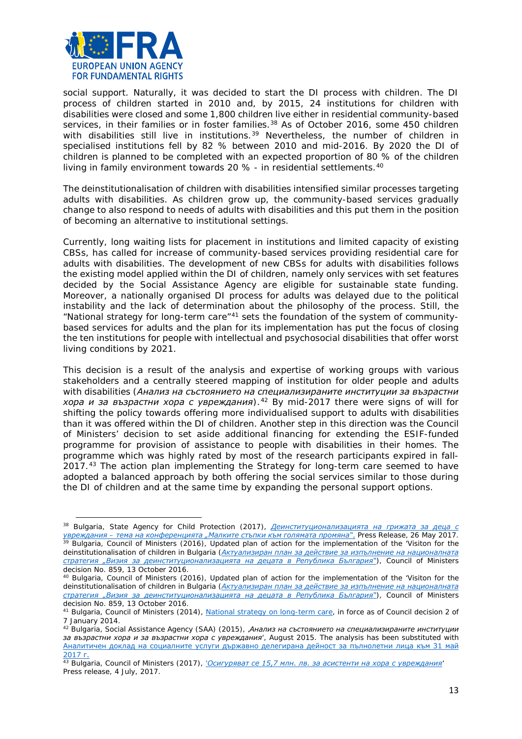

social support. Naturally, it was decided to start the DI process with children. The DI process of children started in 2010 and, by 2015, 24 institutions for children with disabilities were closed and some 1,800 children live either in residential community-based services, in their families or in foster families.<sup>[38](#page-12-0)</sup> As of October 2016, some 450 children with disabilities still live in institutions.<sup>[39](#page-12-1)</sup> Nevertheless, the number of children in specialised institutions fell by 82 % between 2010 and mid-2016. By 2020 the DI of children is planned to be completed with an expected proportion of 80 % of the children living in family environment towards 20  $%$  - in residential settlements.<sup>[40](#page-12-2)</sup>

The deinstitutionalisation of children with disabilities intensified similar processes targeting adults with disabilities. As children grow up, the community-based services gradually change to also respond to needs of adults with disabilities and this put them in the position of becoming an alternative to institutional settings.

Currently, long waiting lists for placement in institutions and limited capacity of existing CBSs, has called for increase of community-based services providing residential care for adults with disabilities. The development of new CBSs for adults with disabilities follows the existing model applied within the DI of children, namely only services with set features decided by the Social Assistance Agency are eligible for sustainable state funding. Moreover, a nationally organised DI process for adults was delayed due to the political instability and the lack of determination about the philosophy of the process. Still, the "National strategy for long-term care"[41](#page-12-3) sets the foundation of the system of communitybased services for adults and the plan for its implementation has put the focus of closing the ten institutions for people with intellectual and psychosocial disabilities that offer worst living conditions by 2021.

This decision is a result of the analysis and expertise of working groups with various stakeholders and a centrally steered mapping of institution for older people and adults with disabilities (*Анализ на състоянието на специализираните институции за възрастни хора и за възрастни хора с увреждания*).[42](#page-12-4) By mid-2017 there were signs of will for shifting the policy towards offering more individualised support to adults with disabilities than it was offered within the DI of children. Another step in this direction was the Council of Ministers' decision to set aside additional financing for extending the ESIF-funded programme for provision of assistance to people with disabilities in their homes. The programme which was highly rated by most of the research participants expired in fall-2017.[43](#page-12-5) The action plan implementing the Strategy for long-term care seemed to have adopted a balanced approach by both offering the social services similar to those during the DI of children and at the same time by expanding the personal support options.

<span id="page-12-1"></span><span id="page-12-0"></span><sup>38</sup> Bulgaria, State Agency for Child Protection (2017), *[Деинституционализацията на грижата за деца с](https://sacp.government.bg/bg/%D0%B4%D0%B5%D0%B8%D0%BD%D1%81%D1%82%D0%B8%D1%82%D1%83%D1%86%D0%B8%D0%BE%D0%BD%D0%B0%D0%BB%D0%B8%D0%B7%D0%B0%D1%86%D0%B8%D1%8F%D1%82%D0%B0-%D0%BD%D0%B0-%D0%B3%D1%80%D0%B8%D0%B6%D0%B0%D1%82%D0%B0/)  увреждания – [тема на конференцията "Малките стъпки към голямата промяна"](https://sacp.government.bg/bg/%D0%B4%D0%B5%D0%B8%D0%BD%D1%81%D1%82%D0%B8%D1%82%D1%83%D1%86%D0%B8%D0%BE%D0%BD%D0%B0%D0%BB%D0%B8%D0%B7%D0%B0%D1%86%D0%B8%D1%8F%D1%82%D0%B0-%D0%BD%D0%B0-%D0%B3%D1%80%D0%B8%D0%B6%D0%B0%D1%82%D0%B0/)*, Press Release, 26 May 2017. <sup>39</sup> Bulgaria, Council of Ministers (2016), *Updated plan of action for the implementation of the 'Visiton for the deinstitutionalisation of children in Bulgaria ([Актуализиран план за действие за изпълнение на националната](http://www.strategy.bg/FileHandler.ashx?fileId=9276)  [стратегия "Визия за деинституционализацията на децата в Република България"](http://www.strategy.bg/FileHandler.ashx?fileId=9276))*, Council of Ministers

<span id="page-12-2"></span>decision No. 859, 13 October 2016.<br><sup>40</sup> Bulgaria, Council of Ministers (2016), Updated plan of action for the implementation of the 'Visiton for the *deinstitutionalisation of children in Bulgaria ([Актуализиран план за действие за изпълнение на националната](http://www.strategy.bg/FileHandler.ashx?fileId=9276)  [стратегия "Визия за деинституционализацията на децата в Република България"](http://www.strategy.bg/FileHandler.ashx?fileId=9276))*, Council of Ministers decision No. 859, 13 October 2016.

<span id="page-12-3"></span><sup>&</sup>lt;sup>41</sup> Bulgaria, Council of Ministers (2014)[, National strategy on long-term care,](http://www.strategy.bg/FileHandler.ashx?fileId=9432) in force as of Council decision 2 of 7 January 2014.

<span id="page-12-4"></span><sup>42</sup> Bulgaria, Social Assistance Agency (SAA) (2015), '*Анализ на състоянието на специализираните институции за възрастни хора и за възрастни хора с увреждания*', August 2015. The analysis has been substituted with [Аналитичен доклад на социалните услуги държавно делегирана дейност за пълнолетни лица към 31 май](http://www.asp.government.bg/documents/20181/106772/%D0%B0%D0%BD%D0%B0%D0%BB%D0%B8%D0%B7_%D0%B4%D0%BE%D0%BA%D0%BB%D0%B0%D0%B4.rar/03bc1146-55db-4a60-a879-f650523d0109)  <u>[2017 г.](http://www.asp.government.bg/documents/20181/106772/%D0%B0%D0%BD%D0%B0%D0%BB%D0%B8%D0%B7_%D0%B4%D0%BE%D0%BA%D0%BB%D0%B0%D0%B4.rar/03bc1146-55db-4a60-a879-f650523d0109)</u>

<span id="page-12-5"></span><sup>43</sup> Bulgaria, Council of Ministers (2017), '*[Осигуряват се 15,7 млн. лв. за асистенти на хора с увреждания](http://www.government.bg/cgi-bin/e-cms/vis/vis.pl?s=001&p=0228&n=9360&g=)*' Press release, 4 July, 2017.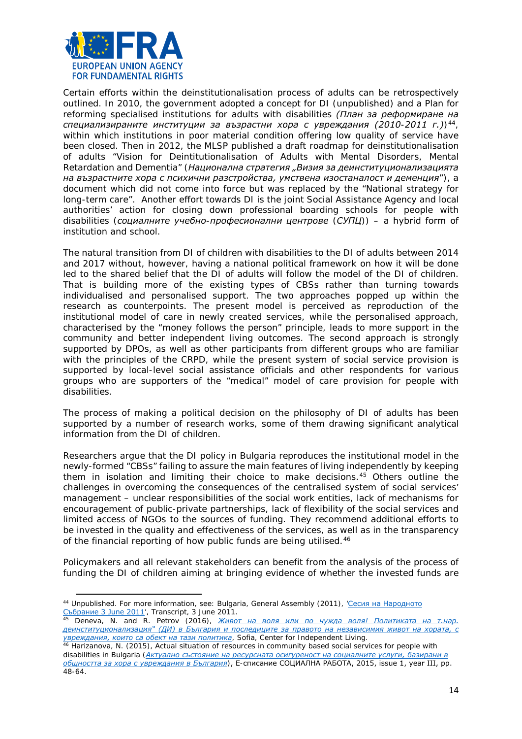

Certain efforts within the deinstitutionalisation process of adults can be retrospectively outlined. In 2010, the government adopted a concept for DI (unpublished) and a Plan for reforming specialised institutions for adults with disabilities *(План за реформиране на специализираните институции за възрастни хора с увреждания (2010-2011 г.)*)[44,](#page-13-0) within which institutions in poor material condition offering low quality of service have been closed. Then in 2012, the MLSP published a draft roadmap for deinstitutionalisation of adults "Vision for Deintitutionalisation of Adults with Mental Disorders, Mental Retardation and Dementia" (*Национална стратегия "Визия за деинституционализацията на възрастните хора с психични разстройства, умствена изостаналост и деменция*"), a document which did not come into force but was replaced by the "National strategy for long-term care". Another effort towards DI is the joint Social Assistance Agency and local authorities' action for closing down professional boarding schools for people with disabilities (*социалните учебно-професионални центрове (СУПЦ)*) – а hybrid form of institution and school.

The natural transition from DI of children with disabilities to the DI of adults between 2014 and 2017 without, however, having a national political framework on how it will be done led to the shared belief that the DI of adults will follow the model of the DI of children. That is building more of the existing types of CBSs rather than turning towards individualised and personalised support. The two approaches popped up within the research as counterpoints. The present model is perceived as reproduction of the institutional model of care in newly created services, while the personalised approach, characterised by the "money follows the person" principle, leads to more support in the community and better independent living outcomes. The second approach is strongly supported by DPOs, as well as other participants from different groups who are familiar with the principles of the CRPD, while the present system of social service provision is supported by local-level social assistance officials and other respondents for various groups who are supporters of the "medical" model of care provision for people with disabilities.

The process of making a political decision on the philosophy of DI of adults has been supported by a number of research works, some of them drawing significant analytical information from the DI of children.

Researchers argue that the DI policy in Bulgaria reproduces the institutional model in the newly-formed "CBSs" failing to assure the main features of living independently by keeping them in isolation and limiting their choice to make decisions.[45](#page-13-1) Others outline the challenges in overcoming the consequences of the centralised system of social services' management – unclear responsibilities of the social work entities, lack of mechanisms for encouragement of public-private partnerships, lack of flexibility of the social services and limited access of NGOs to the sources of funding. They recommend additional efforts to be invested in the quality and effectiveness of the services, as well as in the transparency of the financial reporting of how public funds are being utilised.<sup>[46](#page-13-2)</sup>

Policymakers and all relevant stakeholders can benefit from the analysis of the process of funding the DI of children aiming at bringing evidence of whether the invested funds are

<span id="page-13-0"></span><sup>44</sup> Unpublished. For more information, see: Bulgaria, General Assembly (2011), '[Сесия на Народното](http://www.parliament.bg/bg/plenaryst/ns/7/ID/2611)  [Събрание 3 June 2011](http://www.parliament.bg/bg/plenaryst/ns/7/ID/2611)', Transcript, 3 June 2011.

<span id="page-13-1"></span><sup>45</sup> Deneva, N. and R. Petrov (2016), *[Живот на воля или по чужда воля! Политиката на т.нар.](http://www.cil.bg/userfiles/nabliudatelnitsa/Report-DI-Final.pdf)  [деинституционализация" \(ДИ\) в България и последиците за правото на независимия живот на хората, с](http://www.cil.bg/userfiles/nabliudatelnitsa/Report-DI-Final.pdf)  [увреждания, които са обект на тази политика](http://www.cil.bg/userfiles/nabliudatelnitsa/Report-DI-Final.pdf)*, Sofia, Center for Independent Living.

<span id="page-13-2"></span><sup>46</sup> Harizanova, N. (2015), *Actual situation of resources in community based social services for people with disabilities in Bulgaria ([Актуално състояние на ресурсната осигуреност на](http://oaji.net/articles/2016/2961-1475310536.pdf) социалните услуги, базирани в [общността за хора с увреждания в България](http://oaji.net/articles/2016/2961-1475310536.pdf))*, Е-списание СОЦИАЛНА РАБОТА, 2015, issue 1, year III, pp. 48-64.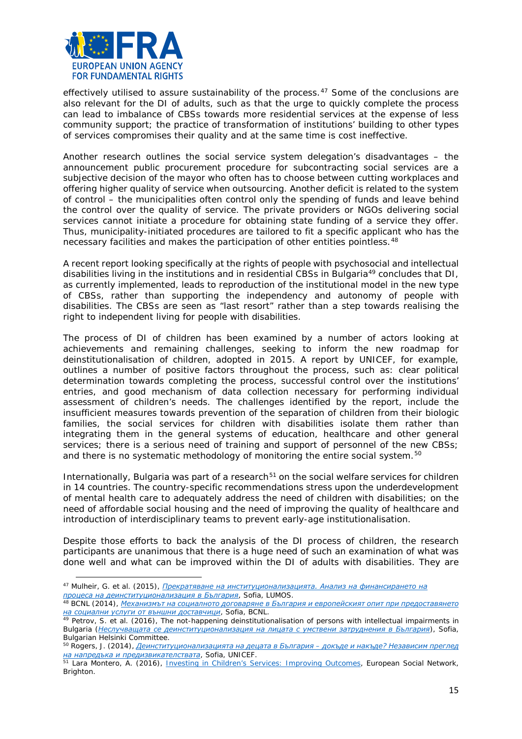

effectively utilised to assure sustainability of the process.<sup>[47](#page-14-0)</sup> Some of the conclusions are also relevant for the DI of adults, such as that the urge to quickly complete the process can lead to imbalance of CBSs towards more residential services at the expense of less community support; the practice of transformation of institutions' building to other types of services compromises their quality and at the same time is cost ineffective.

Another research outlines the social service system delegation's disadvantages – the announcement public procurement procedure for subcontracting social services are a subjective decision of the mayor who often has to choose between cutting workplaces and offering higher quality of service when outsourcing. Another deficit is related to the system of control – the municipalities often control only the spending of funds and leave behind the control over the quality of service. The private providers or NGOs delivering social services cannot initiate a procedure for obtaining state funding of a service they offer. Thus, municipality-initiated procedures are tailored to fit a specific applicant who has the necessary facilities and makes the participation of other entities pointless.<sup>[48](#page-14-1)</sup>

A recent report looking specifically at the rights of people with psychosocial and intellectual disabilities living in the institutions and in residential CBSs in Bulgaria[49](#page-14-2) concludes that DI, as currently implemented, leads to reproduction of the institutional model in the new type of CBSs, rather than supporting the independency and autonomy of people with disabilities. The CBSs are seen as "last resort" rather than a step towards realising the right to independent living for people with disabilities.

The process of DI of children has been examined by a number of actors looking at achievements and remaining challenges, seeking to inform the new roadmap for deinstitutionalisation of children, adopted in 2015. A report by UNICEF, for example, outlines a number of positive factors throughout the process, such as: clear political determination towards completing the process, successful control over the institutions' entries, and good mechanism of data collection necessary for performing individual assessment of children's needs. The challenges identified by the report, include the insufficient measures towards prevention of the separation of children from their biologic families, the social services for children with disabilities isolate them rather than integrating them in the general systems of education, healthcare and other general services; there is a serious need of training and support of personnel of the new CBSs; and there is no systematic methodology of monitoring the entire social system.<sup>[50](#page-14-3)</sup>

Internationally, Bulgaria was part of a research<sup>[51](#page-14-4)</sup> on the social welfare services for children in 14 countries. The country-specific recommendations stress upon the underdevelopment of mental health care to adequately address the need of children with disabilities; on the need of affordable social housing and the need of improving the quality of healthcare and introduction of interdisciplinary teams to prevent early-age institutionalisation.

Despite those efforts to back the analysis of the DI process of children, the research participants are unanimous that there is a huge need of such an examination of what was done well and what can be improved within the DI of adults with disabilities. They are

<span id="page-14-0"></span><sup>47</sup> Mulheir, G. et al. (2015), *[Прекратяване на институционализацията. Анализ на финансирането на](http://bulgaria.wearelumos.org/sites/default/files/Finance_BG_Final.pdf)  процеса на деинституционализация в България*[,](http://bulgaria.wearelumos.org/sites/default/files/Finance_BG_Final.pdf) Sofia, LUMOS. 48 BCNL (2014), *[Mеханизмът на социалното договаряне в България и европейският опит при предоставянето](http://www.bcnl.org/uploadfiles/documents/social_contracting.pdf)* 

<span id="page-14-1"></span>*на социални услуги от външни доставчици*[,](http://www.bcnl.org/uploadfiles/documents/social_contracting.pdf) Sofia, BCNL. 49 Petrov, S. et al. (2016), *The not-happening deinstitutionalisation of persons with intellectual impairments in* 

<span id="page-14-2"></span>*Bulgaria ([Неслучващата се деинституционализация на лицата с умствени](http://www.bghelsinki.org/media/uploads/documents/reports/special/2016_nesluchvashtata_se_deinstitucionalizacia_na_licata_s_umstveni_zatrudnenia_v_bulgaria_%5b978-954-9738-37-7%5d.pdf) затруднения в България)*, Sofia, Bulgarian Helsinki Committee.

<span id="page-14-3"></span><sup>50</sup> Rogers, J. (2014), *[Деинституционализацията на децата в България](http://www.unicef.bg/assets/PDFs/De_I_Review_Report_BG__small.pdf) – докъде и накъде? Независим преглед на напредъка и предизвикателствата*[,](http://www.unicef.bg/assets/PDFs/De_I_Review_Report_BG__small.pdf) Sofia, UNICEF. 51 Lara Montero, A. (2016), Investing in Children's [Services: Improving Outcomes,](http://www.esn-eu.org/raw.php?page=files&id=2062) European Social Network,

<span id="page-14-4"></span>Brighton.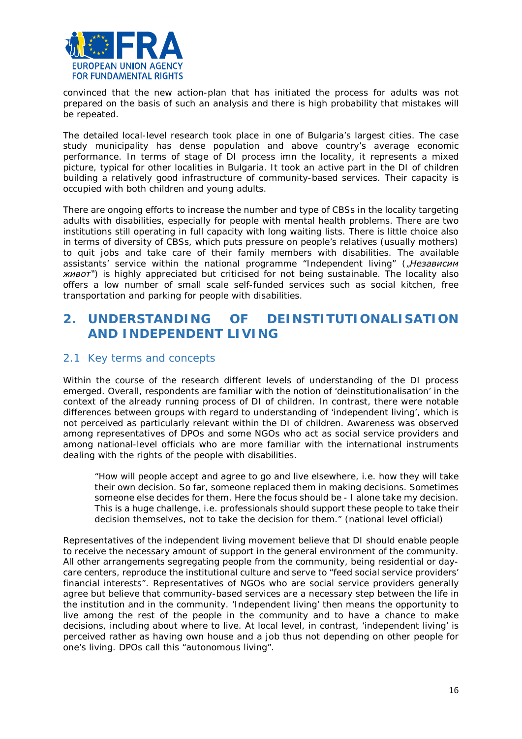

convinced that the new action-plan that has initiated the process for adults was not prepared on the basis of such an analysis and there is high probability that mistakes will be repeated.

The detailed local-level research took place in one of Bulgaria's largest cities. The case study municipality has dense population and above country's average economic performance. In terms of stage of DI process imn the locality, it represents a mixed picture, typical for other localities in Bulgaria. It took an active part in the DI of children building a relatively good infrastructure of community-based services. Their capacity is occupied with both children and young adults.

There are ongoing efforts to increase the number and type of CBSs in the locality targeting adults with disabilities, especially for people with mental health problems. There are two institutions still operating in full capacity with long waiting lists. There is little choice also in terms of diversity of CBSs, which puts pressure on people's relatives (usually mothers) to quit jobs and take care of their family members with disabilities. The available assistants' service within the national programme "Independent living" ("*Независим живот"*) is highly appreciated but criticised for not being sustainable. The locality also offers a low number of small scale self-funded services such as social kitchen, free transportation and parking for people with disabilities.

# <span id="page-15-0"></span>**2. UNDERSTANDING OF DEINSTITUTIONALISATION AND INDEPENDENT LIVING**

# <span id="page-15-1"></span>2.1 Key terms and concepts

Within the course of the research different levels of understanding of the DI process emerged. Overall, respondents are familiar with the notion of 'deinstitutionalisation' in the context of the already running process of DI of children. In contrast, there were notable differences between groups with regard to understanding of 'independent living', which is not perceived as particularly relevant within the DI of children. Awareness was observed among representatives of DPOs and some NGOs who act as social service providers and among national-level officials who are more familiar with the international instruments dealing with the rights of the people with disabilities.

*"How will people accept and agree to go and live elsewhere, i.e. how they will take their own decision. So far, someone replaced them in making decisions. Sometimes someone else decides for them. Here the focus should be - I alone take my decision. This is a huge challenge, i.e. professionals should support these people to take their decision themselves, not to take the decision for them."* (national level official)

Representatives of the independent living movement believe that DI should enable people to receive the necessary amount of support in the general environment of the community. All other arrangements segregating people from the community, being residential or daycare centers, reproduce the institutional culture and serve to "feed social service providers' financial interests". Representatives of NGOs who are social service providers generally agree but believe that community-based services are a necessary step between the life in the institution and in the community. 'Independent living' then means the opportunity to live among the rest of the people in the community and to have a chance to make decisions, including about where to live. At local level, in contrast, 'independent living' is perceived rather as having own house and a job thus not depending on other people for one's living. DPOs call this "autonomous living".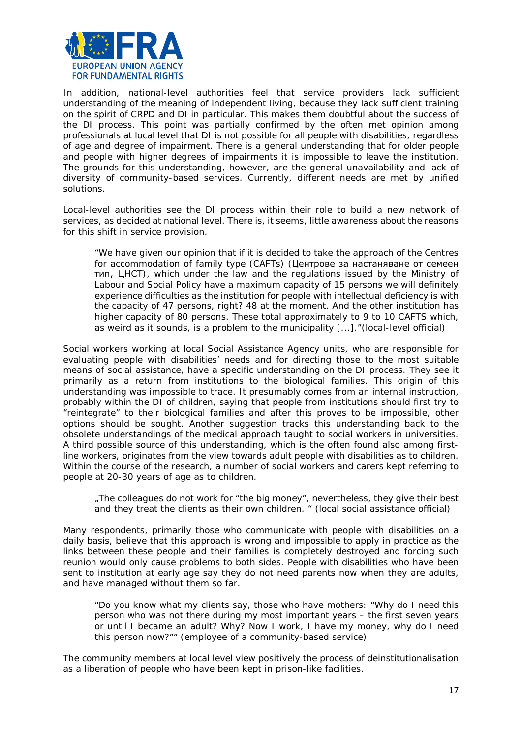

In addition, national-level authorities feel that service providers lack sufficient understanding of the meaning of independent living, because they lack sufficient training on the spirit of CRPD and DI in particular. This makes them doubtful about the success of the DI process. This point was partially confirmed by the often met opinion among professionals at local level that DI is not possible for all people with disabilities, regardless of age and degree of impairment. There is a general understanding that for older people and people with higher degrees of impairments it is impossible to leave the institution. The grounds for this understanding, however, are the general unavailability and lack of diversity of community-based services. Currently, different needs are met by unified solutions.

Local-level authorities see the DI process within their role to build a new network of services, as decided at national level. There is, it seems, little awareness about the reasons for this shift in service provision.

*"We have given our opinion that if it is decided to take the approach of the Centres for accommodation of family type (CAFTs) (*Центрове за настаняване от семеен тип, ЦНСТ*), which under the law and the regulations issued by the Ministry of Labour and Social Policy have a maximum capacity of 15 persons we will definitely experience difficulties as the institution for people with intellectual deficiency is with the capacity of 47 persons, right? 48 at the moment. And the other institution has higher capacity of 80 persons. These total approximately to 9 to 10 CAFTS which, as weird as it sounds, is a problem to the municipality [...]."*(local-level official)

Social workers working at local Social Assistance Agency units, who are responsible for evaluating people with disabilities' needs and for directing those to the most suitable means of social assistance, have a specific understanding on the DI process. They see it primarily as a return from institutions to the biological families. This origin of this understanding was impossible to trace. It presumably comes from an internal instruction, probably within the DI of children, saying that people from institutions should first try to "reintegrate" to their biological families and after this proves to be impossible, other options should be sought. Another suggestion tracks this understanding back to the obsolete understandings of the medical approach taught to social workers in universities. A third possible source of this understanding, which is the often found also among firstline workers, originates from the view towards adult people with disabilities as to children. Within the course of the research, a number of social workers and carers kept referring to people at 20-30 years of age as to children.

*"The colleagues do not work for "the big money", nevertheless, they give their best and they treat the clients as their own children. "* (local social assistance official)

Many respondents, primarily those who communicate with people with disabilities on a daily basis, believe that this approach is wrong and impossible to apply in practice as the links between these people and their families is completely destroyed and forcing such reunion would only cause problems to both sides. People with disabilities who have been sent to institution at early age say they do not need parents now when they are adults, and have managed without them so far.

*"Do you know what my clients say, those who have mothers: "Why do I need this person who was not there during my most important years – the first seven years or until I became an adult? Why? Now I work, I have my money, why do I need this person now?"*" (employee of a community-based service)

The community members at local level view positively the process of deinstitutionalisation as a liberation of people who have been kept in prison-like facilities.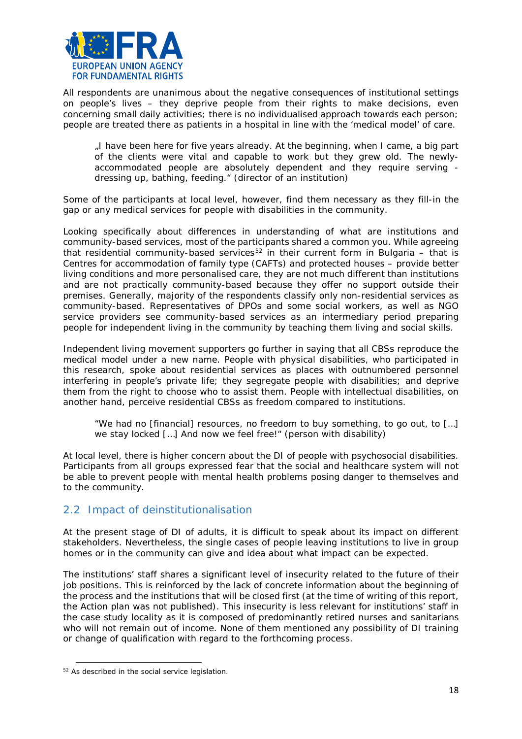

All respondents are unanimous about the negative consequences of institutional settings on people's lives – they deprive people from their rights to make decisions, even concerning small daily activities; there is no individualised approach towards each person; people are treated there as patients in a hospital in line with the 'medical model' of care.

*"I have been here for five years already. At the beginning, when I came, a big part of the clients were vital and capable to work but they grew old. The newlyaccommodated people are absolutely dependent and they require serving dressing up, bathing, feeding."* (director of an institution)

Some of the participants at local level, however, find them necessary as they fill-in the gap or any medical services for people with disabilities in the community.

Looking specifically about differences in understanding of what are institutions and community-based services, most of the participants shared a common you. While agreeing that residential community-based services<sup>[52](#page-17-1)</sup> in their current form in Bulgaria – that is Centres for accommodation of family type (CAFTs) and protected houses – provide better living conditions and more personalised care, they are not much different than institutions and are not practically community-based because they offer no support outside their premises. Generally, majority of the respondents classify only non-residential services as community-based. Representatives of DPOs and some social workers, as well as NGO service providers see community-based services as an intermediary period preparing people for independent living in the community by teaching them living and social skills.

Independent living movement supporters go further in saying that all CBSs reproduce the medical model under a new name. People with physical disabilities, who participated in this research, spoke about residential services as places with outnumbered personnel interfering in people's private life; they segregate people with disabilities; and deprive them from the right to choose who to assist them. People with intellectual disabilities, on another hand, perceive residential CBSs as freedom compared to institutions.

*"We had no [financial] resources, no freedom to buy something, to go out, to […] we stay locked […] And now we feel free!"* (person with disability)

At local level, there is higher concern about the DI of people with psychosocial disabilities. Participants from all groups expressed fear that the social and healthcare system will not be able to prevent people with mental health problems posing danger to themselves and to the community.

# <span id="page-17-0"></span>2.2 Impact of deinstitutionalisation

At the present stage of DI of adults, it is difficult to speak about its impact on different stakeholders. Nevertheless, the single cases of people leaving institutions to live in group homes or in the community can give and idea about what impact can be expected.

The institutions' staff shares a significant level of insecurity related to the future of their job positions. This is reinforced by the lack of concrete information about the beginning of the process and the institutions that will be closed first (at the time of writing of this report, the Action plan was not published). This insecurity is less relevant for institutions' staff in the case study locality as it is composed of predominantly retired nurses and sanitarians who will not remain out of income. None of them mentioned any possibility of DI training or change of qualification with regard to the forthcoming process.

 $\overline{a}$ 

<span id="page-17-1"></span><sup>&</sup>lt;sup>52</sup> As described in the social service legislation.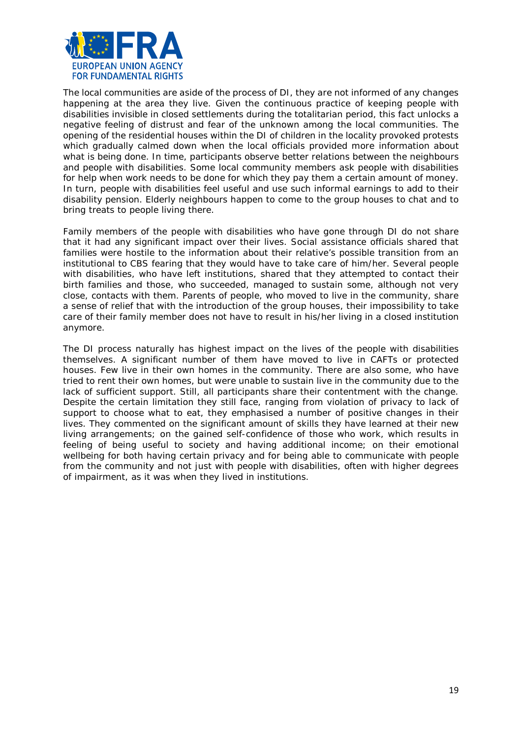

The local communities are aside of the process of DI, they are not informed of any changes happening at the area they live. Given the continuous practice of keeping people with disabilities invisible in closed settlements during the totalitarian period, this fact unlocks a negative feeling of distrust and fear of the unknown among the local communities. The opening of the residential houses within the DI of children in the locality provoked protests which gradually calmed down when the local officials provided more information about what is being done. In time, participants observe better relations between the neighbours and people with disabilities. Some local community members ask people with disabilities for help when work needs to be done for which they pay them a certain amount of money. In turn, people with disabilities feel useful and use such informal earnings to add to their disability pension. Elderly neighbours happen to come to the group houses to chat and to bring treats to people living there.

Family members of the people with disabilities who have gone through DI do not share that it had any significant impact over their lives. Social assistance officials shared that families were hostile to the information about their relative's possible transition from an institutional to CBS fearing that they would have to take care of him/her. Several people with disabilities, who have left institutions, shared that they attempted to contact their birth families and those, who succeeded, managed to sustain some, although not very close, contacts with them. Parents of people, who moved to live in the community, share a sense of relief that with the introduction of the group houses, their impossibility to take care of their family member does not have to result in his/her living in a closed institution anymore.

The DI process naturally has highest impact on the lives of the people with disabilities themselves. A significant number of them have moved to live in CAFTs or protected houses. Few live in their own homes in the community. There are also some, who have tried to rent their own homes, but were unable to sustain live in the community due to the lack of sufficient support. Still, all participants share their contentment with the change. Despite the certain limitation they still face, ranging from violation of privacy to lack of support to choose what to eat, they emphasised a number of positive changes in their lives. They commented on the significant amount of skills they have learned at their new living arrangements; on the gained self-confidence of those who work, which results in feeling of being useful to society and having additional income; on their emotional wellbeing for both having certain privacy and for being able to communicate with people from the community and not just with people with disabilities, often with higher degrees of impairment, as it was when they lived in institutions.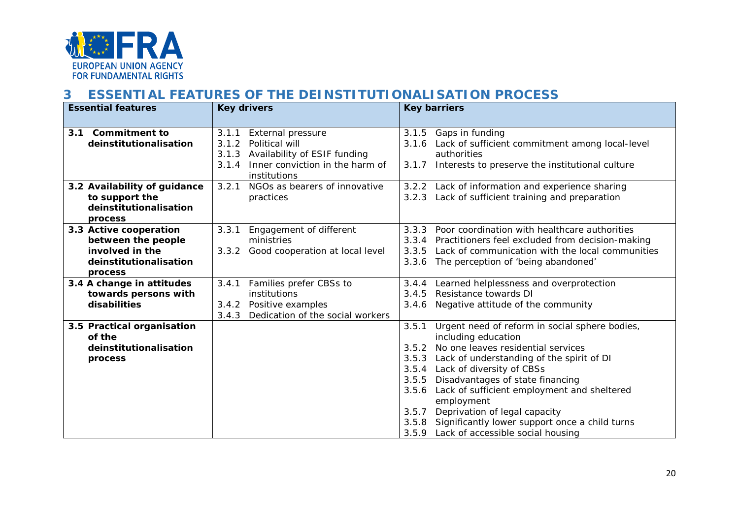

# **3 ESSENTIAL FEATURES OF THE DEINSTITUTIONALISATION PROCESS**

<span id="page-19-0"></span>

| <b>Essential features</b>    | <b>Key drivers</b>                        | <b>Key barriers</b>                                                                   |
|------------------------------|-------------------------------------------|---------------------------------------------------------------------------------------|
|                              |                                           |                                                                                       |
| 3.1 Commitment to            | 3.1.1<br><b>External pressure</b>         | 3.1.5 Gaps in funding                                                                 |
| deinstitutionalisation       | Political will<br>3.1.2                   | 3.1.6 Lack of sufficient commitment among local-level                                 |
|                              | Availability of ESIF funding<br>3.1.3     | authorities                                                                           |
|                              | 3.1.4<br>Inner conviction in the harm of  | Interests to preserve the institutional culture<br>3.1.7                              |
|                              | institutions                              |                                                                                       |
| 3.2 Availability of guidance | NGOs as bearers of innovative<br>3.2.1    | 3.2.2 Lack of information and experience sharing                                      |
| to support the               | practices                                 | 3.2.3 Lack of sufficient training and preparation                                     |
| deinstitutionalisation       |                                           |                                                                                       |
| process                      |                                           |                                                                                       |
| 3.3 Active cooperation       | 3.3.1<br>Engagement of different          | 3.3.3<br>Poor coordination with healthcare authorities                                |
| between the people           | ministries                                | 3.3.4 Practitioners feel excluded from decision-making                                |
| involved in the              | Good cooperation at local level<br>3.3.2  | Lack of communication with the local communities<br>3.3.5                             |
| deinstitutionalisation       |                                           | The perception of 'being abandoned'<br>3.3.6                                          |
| process                      |                                           |                                                                                       |
| 3.4 A change in attitudes    | Families prefer CBSs to<br>3.4.1          | 3.4.4 Learned helplessness and overprotection                                         |
| towards persons with         | institutions                              | 3.4.5<br>Resistance towards DI                                                        |
| disabilities                 | 3.4.2<br>Positive examples                | 3.4.6 Negative attitude of the community                                              |
|                              | 3.4.3<br>Dedication of the social workers |                                                                                       |
| 3.5 Practical organisation   |                                           | 3.5.1<br>Urgent need of reform in social sphere bodies,                               |
| of the                       |                                           | including education                                                                   |
| deinstitutionalisation       |                                           | 3.5.2 No one leaves residential services                                              |
| process                      |                                           | 3.5.3 Lack of understanding of the spirit of DI                                       |
|                              |                                           | 3.5.4 Lack of diversity of CBSs                                                       |
|                              |                                           | 3.5.5<br>Disadvantages of state financing                                             |
|                              |                                           | Lack of sufficient employment and sheltered<br>3.5.6                                  |
|                              |                                           | employment<br>3.5.7                                                                   |
|                              |                                           | Deprivation of legal capacity<br>3.5.8 Significantly lower support once a child turns |
|                              |                                           | 3.5.9 Lack of accessible social housing                                               |
|                              |                                           |                                                                                       |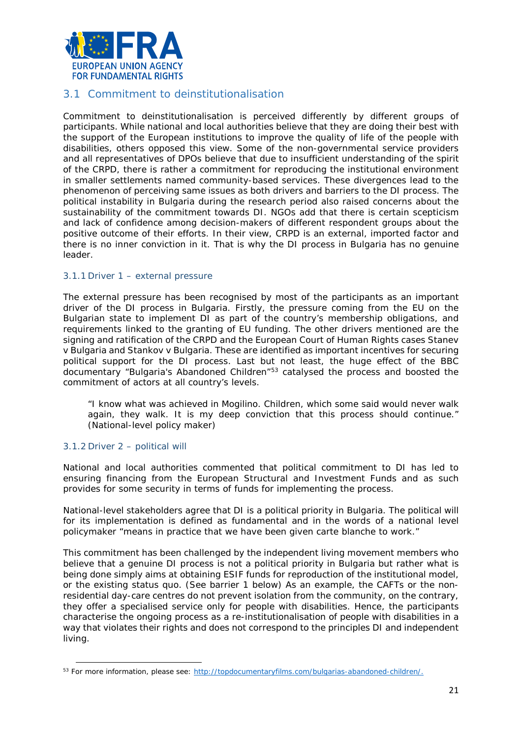

# <span id="page-20-0"></span>3.1 Commitment to deinstitutionalisation

Commitment to deinstitutionalisation is perceived differently by different groups of participants. While national and local authorities believe that they are doing their best with the support of the European institutions to improve the quality of life of the people with disabilities, others opposed this view. Some of the non-governmental service providers and all representatives of DPOs believe that due to insufficient understanding of the spirit of the CRPD, there is rather a commitment for reproducing the institutional environment in smaller settlements named community-based services. These divergences lead to the phenomenon of perceiving same issues as both drivers and barriers to the DI process. The political instability in Bulgaria during the research period also raised concerns about the sustainability of the commitment towards DI. NGOs add that there is certain scepticism and lack of confidence among decision-makers of different respondent groups about the positive outcome of their efforts. In their view, CRPD is an external, imported factor and there is no inner conviction in it. That is why the DI process in Bulgaria has no genuine leader.

#### 3.1.1 Driver 1 – external pressure

The external pressure has been recognised by most of the participants as an important driver of the DI process in Bulgaria. Firstly, the pressure coming from the EU on the Bulgarian state to implement DI as part of the country's membership obligations, and requirements linked to the granting of EU funding. The other drivers mentioned are the signing and ratification of the CRPD and the European Court of Human Rights cases *Stanev v Bulgaria* and *Stankov v Bulgaria.* These are identified as important incentives for securing political support for the DI process. Last but not least, the huge effect of the BBC documentary "Bulgaria's Abandoned Children"[53](#page-20-1) catalysed the process and boosted the commitment of actors at all country's levels.

*"I know what was achieved in Mogilino. Children, which some said would never walk again, they walk. It is my deep conviction that this process should continue."* (National-level policy maker)

#### 3.1.2 Driver 2 – political will

 $\overline{a}$ 

National and local authorities commented that political commitment to DI has led to ensuring financing from the European Structural and Investment Funds and as such provides for some security in terms of funds for implementing the process.

National-level stakeholders agree that DI is a political priority in Bulgaria. The political will for its implementation is defined as fundamental and in the words of a national level policymaker *"means in practice that we have been given carte blanche to work."*

This commitment has been challenged by the independent living movement members who believe that a genuine DI process is not a political priority in Bulgaria but rather what is being done simply aims at obtaining ESIF funds for reproduction of the institutional model, or the existing status quo. (See barrier 1 below) As an example, the CAFTs or the nonresidential day-care centres do not prevent isolation from the community, on the contrary, they offer a specialised service only for people with disabilities. Hence, the participants characterise the ongoing process as a re-institutionalisation of people with disabilities in a way that violates their rights and does not correspond to the principles DI and independent living.

<span id="page-20-1"></span><sup>53</sup> For more information, please see: [http://topdocumentaryfilms.com/bulgarias-abandoned-children/.](http://topdocumentaryfilms.com/bulgarias-abandoned-children/)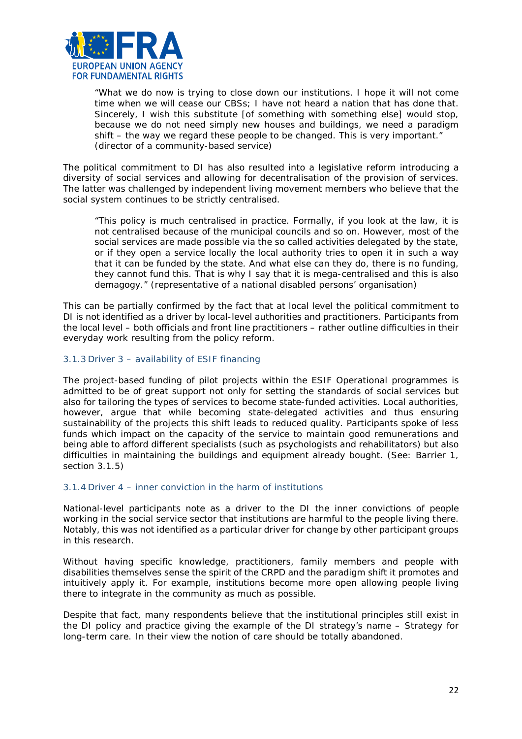

"*What we do now is trying to close down our institutions. I hope it will not come time when we will cease our CBSs; I have not heard a nation that has done that. Sincerely, I wish this substitute [of something with something else] would stop, because we do not need simply new houses and buildings, we need a paradigm shift – the way we regard these people to be changed. This is very important.*" (director of a community-based service)

The political commitment to DI has also resulted into a legislative reform introducing a diversity of social services and allowing for decentralisation of the provision of services. The latter was challenged by independent living movement members who believe that the social system continues to be strictly centralised.

*"This policy is much centralised in practice. Formally, if you look at the law, it is not centralised because of the municipal councils and so on. However, most of the social services are made possible via the so called activities delegated by the state, or if they open a service locally the local authority tries to open it in such a way that it can be funded by the state. And what else can they do, there is no funding, they cannot fund this. That is why I say that it is mega-centralised and this is also demagogy."* (representative of a national disabled persons' organisation)

This can be partially confirmed by the fact that at local level the political commitment to DI is not identified as a driver by local-level authorities and practitioners. Participants from the local level – both officials and front line practitioners – rather outline difficulties in their everyday work resulting from the policy reform.

#### 3.1.3 Driver 3 – availability of ESIF financing

The project-based funding of pilot projects within the ESIF Operational programmes is admitted to be of great support not only for setting the standards of social services but also for tailoring the types of services to become state-funded activities. Local authorities, however, argue that while becoming state-delegated activities and thus ensuring sustainability of the projects this shift leads to reduced quality. Participants spoke of less funds which impact on the capacity of the service to maintain good remunerations and being able to afford different specialists (such as psychologists and rehabilitators) but also difficulties in maintaining the buildings and equipment already bought. (See: Barrier 1, section 3.1.5)

#### 3.1.4 Driver 4 – inner conviction in the harm of institutions

National-level participants note as a driver to the DI the inner convictions of people working in the social service sector that institutions are harmful to the people living there. Notably, this was not identified as a particular driver for change by other participant groups in this research.

Without having specific knowledge, practitioners, family members and people with disabilities themselves sense the spirit of the CRPD and the paradigm shift it promotes and intuitively apply it. For example, institutions become more open allowing people living there to integrate in the community as much as possible.

Despite that fact, many respondents believe that the institutional principles still exist in the DI policy and practice giving the example of the DI strategy's name – Strategy for long-term care. In their view the notion of care should be totally abandoned.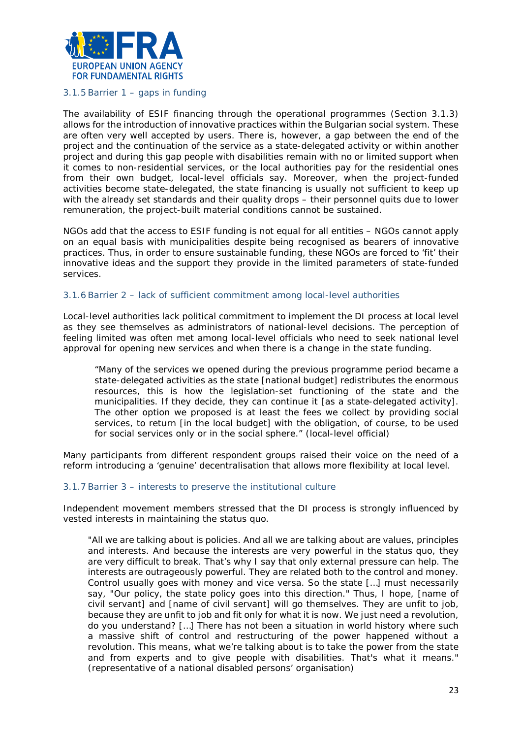

#### 3.1.5 Barrier 1 – gaps in funding

The availability of ESIF financing through the operational programmes (Section 3.1.3) allows for the introduction of innovative practices within the Bulgarian social system. These are often very well accepted by users. There is, however, a gap between the end of the project and the continuation of the service as a state-delegated activity or within another project and during this gap people with disabilities remain with no or limited support when it comes to non-residential services, or the local authorities pay for the residential ones from their own budget, local-level officials say. Moreover, when the project-funded activities become state-delegated, the state financing is usually not sufficient to keep up with the already set standards and their quality drops – their personnel quits due to lower remuneration, the project-built material conditions cannot be sustained.

NGOs add that the access to ESIF funding is not equal for all entities – NGOs cannot apply on an equal basis with municipalities despite being recognised as bearers of innovative practices. Thus, in order to ensure sustainable funding, these NGOs are forced to 'fit' their innovative ideas and the support they provide in the limited parameters of state-funded services.

#### 3.1.6 Barrier 2 – lack of sufficient commitment among local-level authorities

Local-level authorities lack political commitment to implement the DI process at local level as they see themselves as administrators of national-level decisions. The perception of feeling limited was often met among local-level officials who need to seek national level approval for opening new services and when there is a change in the state funding.

"*Many of the services we opened during the previous programme period became a state-delegated activities as the state [national budget] redistributes the enormous resources, this is how the legislation-set functioning of the state and the municipalities. If they decide, they can continue it [as a state-delegated activity].*  The other option we proposed is at least the fees we collect by providing social *services, to return [in the local budget] with the obligation, of course, to be used for social services only or in the social sphere."* (local-level official)

Many participants from different respondent groups raised their voice on the need of a reform introducing a 'genuine' decentralisation that allows more flexibility at local level.

#### 3.1.7 Barrier 3 – interests to preserve the institutional culture

Independent movement members stressed that the DI process is strongly influenced by vested interests in maintaining the status quo.

*"All we are talking about is policies. And all we are talking about are values, principles and interests. And because the interests are very powerful in the status quo, they are very difficult to break. That's why I say that only external pressure can help. The interests are outrageously powerful. They are related both to the control and money. Control usually goes with money and vice versa. So the state […] must necessarily say, "Our policy, the state policy goes into this direction." Thus, I hope, [name of civil servant] and [name of civil servant] will go themselves. They are unfit to job, because they are unfit to job and fit only for what it is now. We just need a revolution, do you understand? […] There has not been a situation in world history where such a massive shift of control and restructuring of the power happened without a revolution. This means, what we're talking about is to take the power from the state and from experts and to give people with disabilities. That's what it means."* (representative of а national disabled persons' organisation)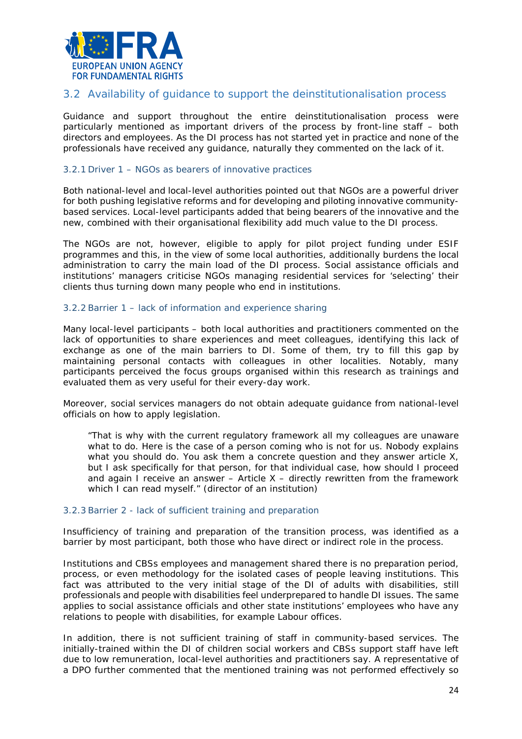

# <span id="page-23-0"></span>3.2 Availability of guidance to support the deinstitutionalisation process

Guidance and support throughout the entire deinstitutionalisation process were particularly mentioned as important drivers of the process by front-line staff – both directors and employees. As the DI process has not started yet in practice and none of the professionals have received any guidance, naturally they commented on the lack of it.

#### 3.2.1 Driver 1 – NGOs as bearers of innovative practices

Both national-level and local-level authorities pointed out that NGOs are a powerful driver for both pushing legislative reforms and for developing and piloting innovative communitybased services. Local-level participants added that being bearers of the innovative and the new, combined with their organisational flexibility add much value to the DI process.

The NGOs are not, however, eligible to apply for pilot project funding under ESIF programmes and this, in the view of some local authorities, additionally burdens the local administration to carry the main load of the DI process. Social assistance officials and institutions' managers criticise NGOs managing residential services for 'selecting' their clients thus turning down many people who end in institutions.

#### 3.2.2 Barrier 1 – lack of information and experience sharing

Many local-level participants – both local authorities and practitioners commented on the lack of opportunities to share experiences and meet colleagues, identifying this lack of exchange as one of the main barriers to DI. Some of them, try to fill this gap by maintaining personal contacts with colleagues in other localities. Notably, many participants perceived the focus groups organised within this research as trainings and evaluated them as very useful for their every-day work.

Moreover, social services managers do not obtain adequate guidance from national-level officials on how to apply legislation.

"*That is why with the current regulatory framework all my colleagues are unaware what to do. Here is the case of a person coming who is not for us. Nobody explains what you should do. You ask them a concrete question and they answer article X, but I ask specifically for that person, for that individual case, how should I proceed and again I receive an answer – Article X – directly rewritten from the framework which I can read myself.*" (director of an institution)

#### 3.2.3 Barrier 2 - lack of sufficient training and preparation

Insufficiency of training and preparation of the transition process, was identified as a barrier by most participant, both those who have direct or indirect role in the process.

Institutions and CBSs employees and management shared there is no preparation period, process, or even methodology for the isolated cases of people leaving institutions. This fact was attributed to the very initial stage of the DI of adults with disabilities, still professionals and people with disabilities feel underprepared to handle DI issues. The same applies to social assistance officials and other state institutions' employees who have any relations to people with disabilities, for example Labour offices.

In addition, there is not sufficient training of staff in community-based services. The initially-trained within the DI of children social workers and CBSs support staff have left due to low remuneration, local-level authorities and practitioners say. A representative of a DPO further commented that the mentioned training was not performed effectively so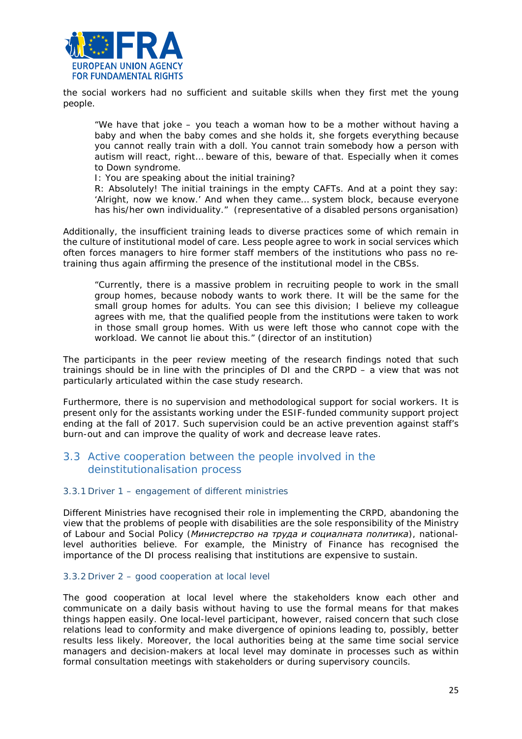

the social workers had no sufficient and suitable skills when they first met the young people.

*"We have that joke – you teach a woman how to be a mother without having a baby and when the baby comes and she holds it, she forgets everything because you cannot really train with a doll. You cannot train somebody how a person with autism will react, right… beware of this, beware of that. Especially when it comes to Down syndrome.* 

*I: You are speaking about the initial training?*

*R: Absolutely! The initial trainings in the empty CAFTs. And at a point they say: 'Alright, now we know.' And when they came… system block, because everyone has his/her own individuality."* (representative of a disabled persons organisation)

Additionally, the insufficient training leads to diverse practices some of which remain in the culture of institutional model of care. Less people agree to work in social services which often forces managers to hire former staff members of the institutions who pass no retraining thus again affirming the presence of the institutional model in the CBSs.

"*Currently, there is a massive problem in recruiting people to work in the small group homes, because nobody wants to work there. It will be the same for the small group homes for adults. You can see this division; I believe my colleague agrees with me, that the qualified people from the institutions were taken to work in those small group homes. With us were left those who cannot cope with the workload. We cannot lie about this*." (director of an institution)

The participants in the peer review meeting of the research findings noted that such trainings should be in line with the principles of DI and the CRPD – a view that was not particularly articulated within the case study research.

Furthermore, there is no supervision and methodological support for social workers. It is present only for the assistants working under the ESIF-funded community support project ending at the fall of 2017. Such supervision could be an active prevention against staff's burn-out and can improve the quality of work and decrease leave rates.

# <span id="page-24-0"></span>3.3 Active cooperation between the people involved in the deinstitutionalisation process

#### 3.3.1 Driver 1 – engagement of different ministries

Different Ministries have recognised their role in implementing the CRPD, abandoning the view that the problems of people with disabilities are the sole responsibility of the Ministry of Labour and Social Policy (*Министерство на труда и социалната политика*), nationallevel authorities believe. For example, the Ministry of Finance has recognised the importance of the DI process realising that institutions are expensive to sustain.

#### 3.3.2 Driver 2 – good cooperation at local level

The good cooperation at local level where the stakeholders know each other and communicate on a daily basis without having to use the formal means for that makes things happen easily. One local-level participant, however, raised concern that such close relations lead to conformity and make divergence of opinions leading to, possibly, better results less likely. Moreover, the local authorities being at the same time social service managers and decision-makers at local level may dominate in processes such as within formal consultation meetings with stakeholders or during supervisory councils.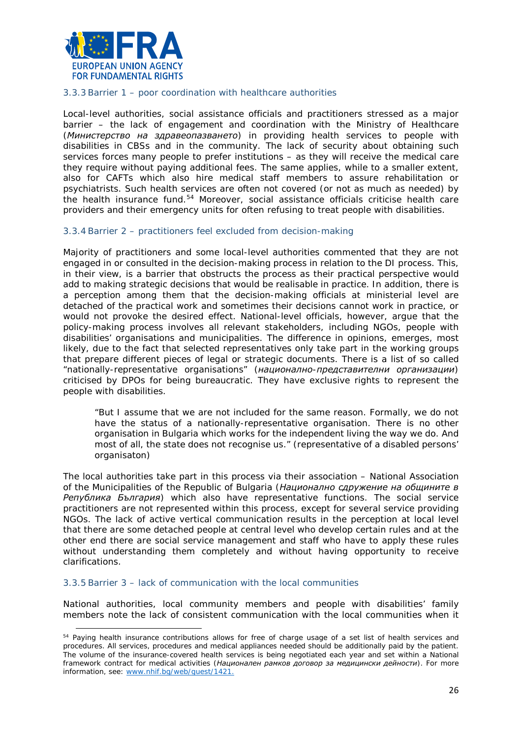

#### 3.3.3 Barrier 1 – poor coordination with healthcare authorities

Local-level authorities, social assistance officials and practitioners stressed as a major barrier – the lack of engagement and coordination with the Ministry of Healthcare (*Министерство на здравеопазването*) in providing health services to people with disabilities in CBSs and in the community. The lack of security about obtaining such services forces many people to prefer institutions – as they will receive the medical care they require without paying additional fees. The same applies, while to a smaller extent, also for CAFTs which also hire medical staff members to assure rehabilitation or psychiatrists. Such health services are often not covered (or not as much as needed) by the health insurance fund.[54](#page-25-0) Moreover, social assistance officials criticise health care providers and their emergency units for often refusing to treat people with disabilities.

#### 3.3.4 Barrier 2 – practitioners feel excluded from decision-making

Majority of practitioners and some local-level authorities commented that they are not engaged in or consulted in the decision-making process in relation to the DI process. This, in their view, is a barrier that obstructs the process as their practical perspective would add to making strategic decisions that would be realisable in practice. In addition, there is a perception among them that the decision-making officials at ministerial level are detached of the practical work and sometimes their decisions cannot work in practice, or would not provoke the desired effect. National-level officials, however, argue that the policy-making process involves all relevant stakeholders, including NGOs, people with disabilities' organisations and municipalities. The difference in opinions, emerges, most likely, due to the fact that selected representatives only take part in the working groups that prepare different pieces of legal or strategic documents. There is a list of so called "nationally-representative organisations" (*национално-представителни организации*) criticised by DPOs for being bureaucratic. They have exclusive rights to represent the people with disabilities.

"*But I assume that we are not included for the same reason. Formally, we do not have the status of a nationally-representative organisation. There is no other organisation in Bulgaria which works for the independent living the way we do. And most of all, the state does not recognise us."* (representative of a disabled persons' organisaton)

The local authorities take part in this process via their association – National Association of the Municipalities of the Republic of Bulgaria (*Национално сдружение на общините в Република България*) which also have representative functions. The social service practitioners are not represented within this process, except for several service providing NGOs. The lack of active vertical communication results in the perception at local level that there are some detached people at central level who develop certain rules and at the other end there are social service management and staff who have to apply these rules without understanding them completely and without having opportunity to receive clarifications.

#### 3.3.5 Barrier 3 – lack of communication with the local communities

l

National authorities, local community members and people with disabilities' family members note the lack of consistent communication with the local communities when it

<span id="page-25-0"></span><sup>&</sup>lt;sup>54</sup> Paying health insurance contributions allows for free of charge usage of a set list of health services and procedures. All services, procedures and medical appliances needed should be additionally paid by the patient. The volume of the insurance-covered health services is being negotiated each year and set within a National framework contract for medical activities (*Национален рамков договор за медицински дейности*). For more information, see: [www.nhif.bg/web/guest/1421.](http://www.nhif.bg/web/guest/1421)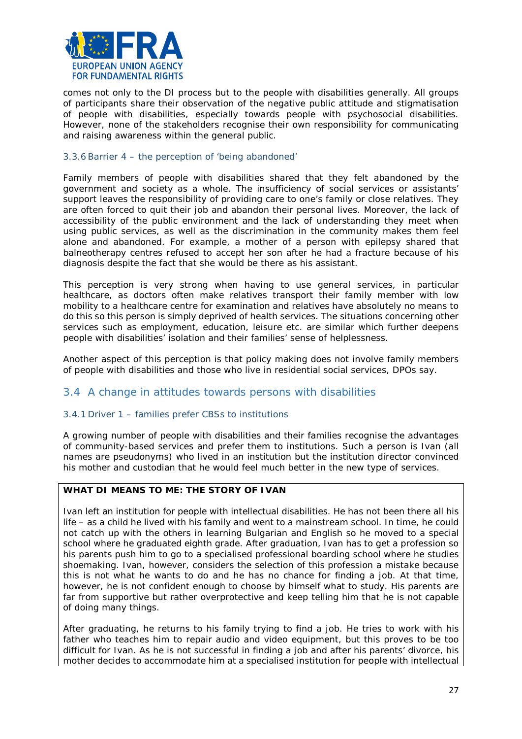

comes not only to the DI process but to the people with disabilities generally. All groups of participants share their observation of the negative public attitude and stigmatisation of people with disabilities, especially towards people with psychosocial disabilities. However, none of the stakeholders recognise their own responsibility for communicating and raising awareness within the general public.

#### 3.3.6 Barrier 4 – the perception of 'being abandoned'

Family members of people with disabilities shared that they felt abandoned by the government and society as a whole. The insufficiency of social services or assistants' support leaves the responsibility of providing care to one's family or close relatives. They are often forced to quit their job and abandon their personal lives. Moreover, the lack of accessibility of the public environment and the lack of understanding they meet when using public services, as well as the discrimination in the community makes them feel alone and abandoned. For example, a mother of a person with epilepsy shared that balneotherapy centres refused to accept her son after he had a fracture because of his diagnosis despite the fact that she would be there as his assistant.

This perception is very strong when having to use general services, in particular healthcare, as doctors often make relatives transport their family member with low mobility to a healthcare centre for examination and relatives have absolutely no means to do this so this person is simply deprived of health services. The situations concerning other services such as employment, education, leisure etc. are similar which further deepens people with disabilities' isolation and their families' sense of helplessness.

Another aspect of this perception is that policy making does not involve family members of people with disabilities and those who live in residential social services, DPOs say.

# <span id="page-26-0"></span>3.4 A change in attitudes towards persons with disabilities

#### 3.4.1 Driver 1 – families prefer CBSs to institutions

A growing number of people with disabilities and their families recognise the advantages of community-based services and prefer them to institutions. Such a person is Ivan (all names are pseudonyms) who lived in an institution but the institution director convinced his mother and custodian that he would feel much better in the new type of services.

#### **WHAT DI MEANS TO ME: THE STORY OF IVAN**

Ivan left an institution for people with intellectual disabilities. He has not been there all his life – as a child he lived with his family and went to a mainstream school. In time, he could not catch up with the others in learning Bulgarian and English so he moved to a special school where he graduated eighth grade. After graduation, Ivan has to get a profession so his parents push him to go to a specialised professional boarding school where he studies shoemaking. Ivan, however, considers the selection of this profession a mistake because this is not what he wants to do and he has no chance for finding a job. At that time, however, he is not confident enough to choose by himself what to study. His parents are far from supportive but rather overprotective and keep telling him that he is not capable of doing many things.

After graduating, he returns to his family trying to find a job. He tries to work with his father who teaches him to repair audio and video equipment, but this proves to be too difficult for Ivan. As he is not successful in finding a job and after his parents' divorce, his mother decides to accommodate him at a specialised institution for people with intellectual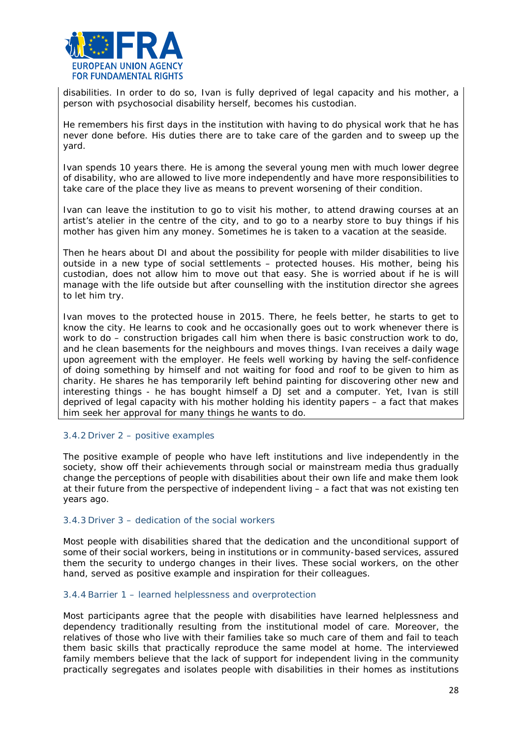

disabilities. In order to do so, Ivan is fully deprived of legal capacity and his mother, a person with psychosocial disability herself, becomes his custodian.

He remembers his first days in the institution with having to do physical work that he has never done before. His duties there are to take care of the garden and to sweep up the yard.

Ivan spends 10 years there. He is among the several young men with much lower degree of disability, who are allowed to live more independently and have more responsibilities to take care of the place they live as means to prevent worsening of their condition.

Ivan can leave the institution to go to visit his mother, to attend drawing courses at an artist's atelier in the centre of the city, and to go to a nearby store to buy things if his mother has given him any money. Sometimes he is taken to a vacation at the seaside.

Then he hears about DI and about the possibility for people with milder disabilities to live outside in a new type of social settlements – protected houses. His mother, being his custodian, does not allow him to move out that easy. She is worried about if he is will manage with the life outside but after counselling with the institution director she agrees to let him try.

Ivan moves to the protected house in 2015. There, he feels better, he starts to get to know the city. He learns to cook and he occasionally goes out to work whenever there is work to do – construction brigades call him when there is basic construction work to do, and he clean basements for the neighbours and moves things. Ivan receives a daily wage upon agreement with the employer. He feels well working by having the self-confidence of doing something by himself and not waiting for food and roof to be given to him as charity. He shares he has temporarily left behind painting for discovering other new and interesting things - he has bought himself a DJ set and a computer. Yet, Ivan is still deprived of legal capacity with his mother holding his identity papers – a fact that makes him seek her approval for many things he wants to do.

#### 3.4.2 Driver 2 – positive examples

The positive example of people who have left institutions and live independently in the society, show off their achievements through social or mainstream media thus gradually change the perceptions of people with disabilities about their own life and make them look at their future from the perspective of independent living – a fact that was not existing ten years ago.

#### 3.4.3 Driver 3 – dedication of the social workers

Most people with disabilities shared that the dedication and the unconditional support of some of their social workers, being in institutions or in community-based services, assured them the security to undergo changes in their lives. These social workers, on the other hand, served as positive example and inspiration for their colleagues.

#### 3.4.4 Barrier 1 – learned helplessness and overprotection

Most participants agree that the people with disabilities have learned helplessness and dependency traditionally resulting from the institutional model of care. Moreover, the relatives of those who live with their families take so much care of them and fail to teach them basic skills that practically reproduce the same model at home. The interviewed family members believe that the lack of support for independent living in the community practically segregates and isolates people with disabilities in their homes as institutions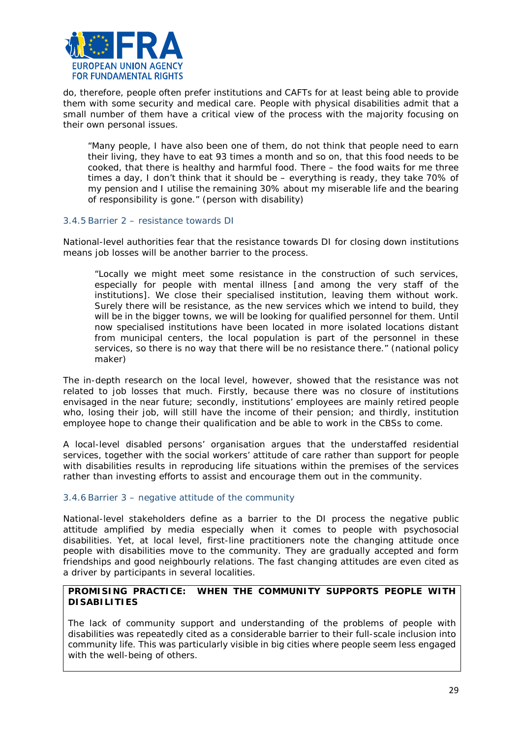

do, therefore, people often prefer institutions and CAFTs for at least being able to provide them with some security and medical care. People with physical disabilities admit that a small number of them have a critical view of the process with the majority focusing on their own personal issues.

*"Many people, I have also been one of them, do not think that people need to earn their living, they have to eat 93 times a month and so on, that this food needs to be cooked, that there is healthy and harmful food. There – the food waits for me three times a day, I don't think that it should be – everything is ready, they take 70% of my pension and I utilise the remaining 30% about my miserable life and the bearing of responsibility is gone."* (person with disability)

#### 3.4.5 Barrier 2 – resistance towards DI

National-level authorities fear that the resistance towards DI for closing down institutions means job losses will be another barrier to the process.

*"Locally we might meet some resistance in the construction of such services, especially for people with mental illness [and among the very staff of the institutions]. We close their specialised institution, leaving them without work. Surely there will be resistance, as the new services which we intend to build, they*  will be in the bigger towns, we will be looking for qualified personnel for them. Until *now specialised institutions have been located in more isolated locations distant from municipal centers, the local population is part of the personnel in these services, so there is no way that there will be no resistance there."* (national policy maker)

The in-depth research on the local level, however, showed that the resistance was not related to job losses that much. Firstly, because there was no closure of institutions envisaged in the near future; secondly, institutions' employees are mainly retired people who, losing their job, will still have the income of their pension; and thirdly, institution employee hope to change their qualification and be able to work in the CBSs to come.

A local-level disabled persons' organisation argues that the understaffed residential services, together with the social workers' attitude of care rather than support for people with disabilities results in reproducing life situations within the premises of the services rather than investing efforts to assist and encourage them out in the community.

# 3.4.6 Barrier 3 – negative attitude of the community

National-level stakeholders define as a barrier to the DI process the negative public attitude amplified by media especially when it comes to people with psychosocial disabilities. Yet, at local level, first-line practitioners note the changing attitude once people with disabilities move to the community. They are gradually accepted and form friendships and good neighbourly relations. The fast changing attitudes are even cited as a driver by participants in several localities.

# **PROMISING PRACTICE: WHEN THE COMMUNITY SUPPORTS PEOPLE WITH DISABILITIES**

The lack of community support and understanding of the problems of people with disabilities was repeatedly cited as a considerable barrier to their full-scale inclusion into community life. This was particularly visible in big cities where people seem less engaged with the well-being of others.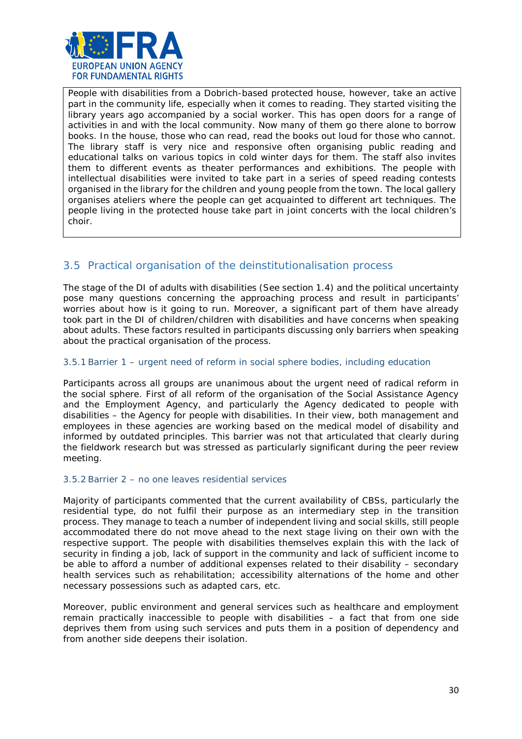

People with disabilities from a Dobrich-based protected house, however, take an active part in the community life, especially when it comes to reading. They started visiting the library years ago accompanied by a social worker. This has open doors for a range of activities in and with the local community. Now many of them go there alone to borrow books. In the house, those who can read, read the books out loud for those who cannot. The library staff is very nice and responsive often organising public reading and educational talks on various topics in cold winter days for them. The staff also invites them to different events as theater performances and exhibitions. The people with intellectual disabilities were invited to take part in a series of speed reading contests organised in the library for the children and young people from the town. The local gallery organises ateliers where the people can get acquainted to different art techniques. The people living in the protected house take part in joint concerts with the local children's choir.

# <span id="page-29-0"></span>3.5 Practical organisation of the deinstitutionalisation process

The stage of the DI of adults with disabilities (See section 1.4) and the political uncertainty pose many questions concerning the approaching process and result in participants' worries about how is it going to run. Moreover, a significant part of them have already took part in the DI of children/children with disabilities and have concerns when speaking about adults. These factors resulted in participants discussing only barriers when speaking about the practical organisation of the process.

# 3.5.1 Barrier 1 – urgent need of reform in social sphere bodies, including education

Participants across all groups are unanimous about the urgent need of radical reform in the social sphere. First of all reform of the organisation of the Social Assistance Agency and the Employment Agency, and particularly the Agency dedicated to people with disabilities – the Agency for people with disabilities. In their view, both management and employees in these agencies are working based on the medical model of disability and informed by outdated principles. This barrier was not that articulated that clearly during the fieldwork research but was stressed as particularly significant during the peer review meeting.

# 3.5.2 Barrier 2 – no one leaves residential services

Majority of participants commented that the current availability of CBSs, particularly the residential type, do not fulfil their purpose as an intermediary step in the transition process. They manage to teach a number of independent living and social skills, still people accommodated there do not move ahead to the next stage living on their own with the respective support. The people with disabilities themselves explain this with the lack of security in finding a job, lack of support in the community and lack of sufficient income to be able to afford a number of additional expenses related to their disability – secondary health services such as rehabilitation; accessibility alternations of the home and other necessary possessions such as adapted cars, etc.

Moreover, public environment and general services such as healthcare and employment remain practically inaccessible to people with disabilities – a fact that from one side deprives them from using such services and puts them in a position of dependency and from another side deepens their isolation.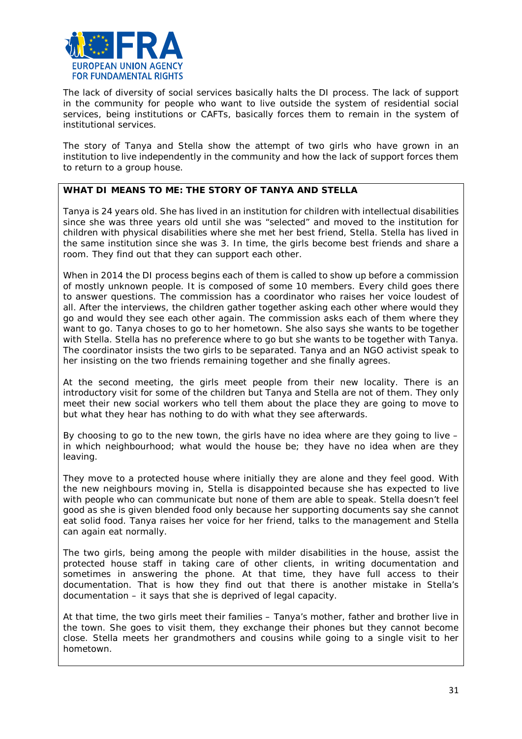

The lack of diversity of social services basically halts the DI process. The lack of support in the community for people who want to live outside the system of residential social services, being institutions or CAFTs, basically forces them to remain in the system of institutional services.

The story of Tanya and Stella show the attempt of two girls who have grown in an institution to live independently in the community and how the lack of support forces them to return to a group house.

#### **WHAT DI MEANS TO ME: THE STORY OF TANYA AND STELLA**

Tanya is 24 years old. She has lived in an institution for children with intellectual disabilities since she was three years old until she was "selected" and moved to the institution for children with physical disabilities where she met her best friend, Stella. Stella has lived in the same institution since she was 3. In time, the girls become best friends and share a room. They find out that they can support each other.

When in 2014 the DI process begins each of them is called to show up before a commission of mostly unknown people. It is composed of some 10 members. Every child goes there to answer questions. The commission has a coordinator who raises her voice loudest of all. After the interviews, the children gather together asking each other where would they go and would they see each other again. The commission asks each of them where they want to go. Tanya choses to go to her hometown. She also says she wants to be together with Stella. Stella has no preference where to go but she wants to be together with Tanya. The coordinator insists the two girls to be separated. Tanya and an NGO activist speak to her insisting on the two friends remaining together and she finally agrees.

At the second meeting, the girls meet people from their new locality. There is an introductory visit for some of the children but Tanya and Stella are not of them. They only meet their new social workers who tell them about the place they are going to move to but what they hear has nothing to do with what they see afterwards.

By choosing to go to the new town, the girls have no idea where are they going to live – in which neighbourhood; what would the house be; they have no idea when are they leaving.

They move to a protected house where initially they are alone and they feel good. With the new neighbours moving in, Stella is disappointed because she has expected to live with people who can communicate but none of them are able to speak. Stella doesn't feel good as she is given blended food only because her supporting documents say she cannot eat solid food. Tanya raises her voice for her friend, talks to the management and Stella can again eat normally.

The two girls, being among the people with milder disabilities in the house, assist the protected house staff in taking care of other clients, in writing documentation and sometimes in answering the phone. At that time, they have full access to their documentation. That is how they find out that there is another mistake in Stella's documentation – it says that she is deprived of legal capacity.

At that time, the two girls meet their families – Tanya's mother, father and brother live in the town. She goes to visit them, they exchange their phones but they cannot become close. Stella meets her grandmothers and cousins while going to a single visit to her hometown.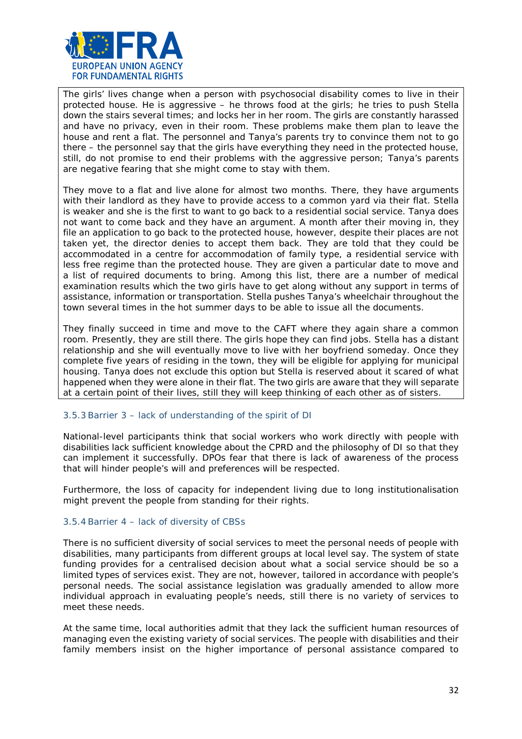

The girls' lives change when a person with psychosocial disability comes to live in their protected house. He is aggressive – he throws food at the girls; he tries to push Stella down the stairs several times; and locks her in her room. The girls are constantly harassed and have no privacy, even in their room. These problems make them plan to leave the house and rent a flat. The personnel and Tanya's parents try to convince them not to go there – the personnel say that the girls have everything they need in the protected house, still, do not promise to end their problems with the aggressive person; Tanya's parents are negative fearing that she might come to stay with them.

They move to a flat and live alone for almost two months. There, they have arguments with their landlord as they have to provide access to a common yard via their flat. Stella is weaker and she is the first to want to go back to a residential social service. Tanya does not want to come back and they have an argument. A month after their moving in, they file an application to go back to the protected house, however, despite their places are not taken yet, the director denies to accept them back. They are told that they could be accommodated in a centre for accommodation of family type, a residential service with less free regime than the protected house. They are given a particular date to move and a list of required documents to bring. Among this list, there are a number of medical examination results which the two girls have to get along without any support in terms of assistance, information or transportation. Stella pushes Tanya's wheelchair throughout the town several times in the hot summer days to be able to issue all the documents.

They finally succeed in time and move to the CAFT where they again share a common room. Presently, they are still there. The girls hope they can find jobs. Stella has a distant relationship and she will eventually move to live with her boyfriend someday. Once they complete five years of residing in the town, they will be eligible for applying for municipal housing. Tanya does not exclude this option but Stella is reserved about it scared of what happened when they were alone in their flat. The two girls are aware that they will separate at a certain point of their lives, still they will keep thinking of each other as of sisters.

#### 3.5.3 Barrier 3 – lack of understanding of the spirit of DI

National-level participants think that social workers who work directly with people with disabilities lack sufficient knowledge about the CPRD and the philosophy of DI so that they can implement it successfully. DPOs fear that there is lack of awareness of the process that will hinder people's will and preferences will be respected.

Furthermore, the loss of capacity for independent living due to long institutionalisation might prevent the people from standing for their rights.

#### 3.5.4 Barrier 4 – lack of diversity of CBSs

There is no sufficient diversity of social services to meet the personal needs of people with disabilities, many participants from different groups at local level say. The system of state funding provides for a centralised decision about what a social service should be so a limited types of services exist. They are not, however, tailored in accordance with people's personal needs. The social assistance legislation was gradually amended to allow more individual approach in evaluating people's needs, still there is no variety of services to meet these needs.

At the same time, local authorities admit that they lack the sufficient human resources of managing even the existing variety of social services. The people with disabilities and their family members insist on the higher importance of personal assistance compared to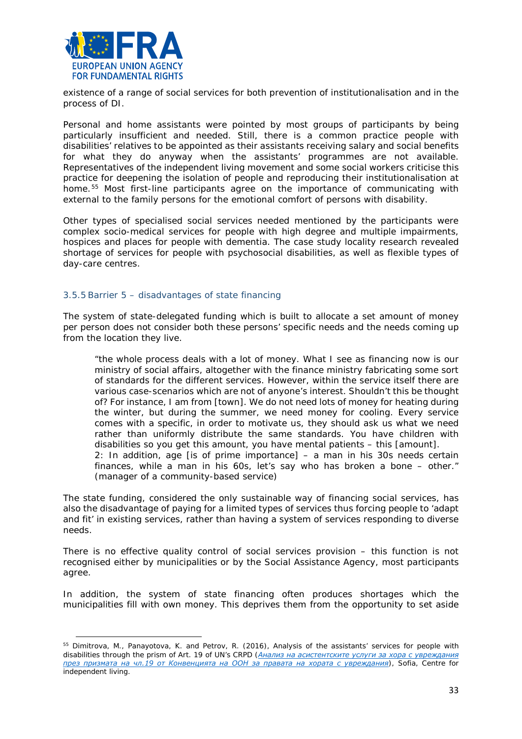

existence of a range of social services for both prevention of institutionalisation and in the process of DI.

Personal and home assistants were pointed by most groups of participants by being particularly insufficient and needed. Still, there is a common practice people with disabilities' relatives to be appointed as their assistants receiving salary and social benefits for what they do anyway when the assistants' programmes are not available. Representatives of the independent living movement and some social workers criticise this practice for deepening the isolation of people and reproducing their institutionalisation at home.[55](#page-32-0) Most first-line participants agree on the importance of communicating with external to the family persons for the emotional comfort of persons with disability.

Other types of specialised social services needed mentioned by the participants were complex socio-medical services for people with high degree and multiple impairments, hospices and places for people with dementia. The case study locality research revealed shortage of services for people with psychosocial disabilities, as well as flexible types of day-care centres.

#### 3.5.5 Barrier 5 – disadvantages of state financing

(manager of a community-based service)

 $\overline{a}$ 

The system of state-delegated funding which is built to allocate a set amount of money per person does not consider both these persons' specific needs and the needs coming up from the location they live.

*"the whole process deals with a lot of money. What I see as financing now is our ministry of social affairs, altogether with the finance ministry fabricating some sort of standards for the different services. However, within the service itself there are various case-scenarios which are not of anyone's interest. Shouldn't this be thought of? For instance, I am from [town]. We do not need lots of money for heating during the winter, but during the summer, we need money for cooling. Every service comes with a specific, in order to motivate us, they should ask us what we need rather than uniformly distribute the same standards. You have children with disabilities so you get this amount, you have mental patients – this [amount]. 2: In addition, age [is of prime importance] – a man in his 30s needs certain finances, while a man in his 60s, let's say who has broken a bone – other."*

The state funding, considered the only sustainable way of financing social services, has also the disadvantage of paying for a limited types of services thus forcing people to 'adapt and fit' in existing services, rather than having a system of services responding to diverse needs.

There is no effective quality control of social services provision – this function is not recognised either by municipalities or by the Social Assistance Agency, most participants agree.

In addition, the system of state financing often produces shortages which the municipalities fill with own money. This deprives them from the opportunity to set aside

<span id="page-32-0"></span><sup>55</sup> Dimitrova, M., Panayotova, K. and Petrov, R. (2016), *Analysis of the assistants' services for people with disabilities through the prism of Art. 19 of UN's CRPD ([Анализ на асистентските услуги за хора с увреждания](http://cil.bg/userfiles/nabliudatelnitsa/Report-PA-Final.pdf)  [през призмата на чл.19 от Конвенцията на ООН за правата на хората с увреждания](http://cil.bg/userfiles/nabliudatelnitsa/Report-PA-Final.pdf)*), Sofia, Centre for independent living.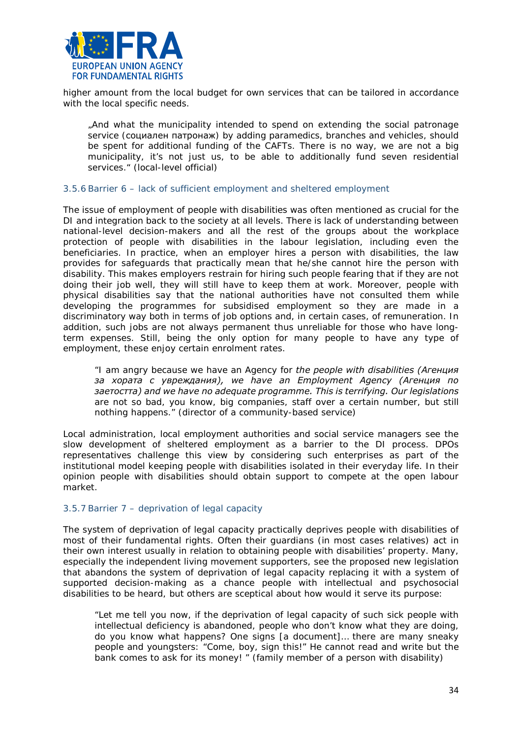

higher amount from the local budget for own services that can be tailored in accordance with the local specific needs.

*"And what the municipality intended to spend on extending the social patronage service (*социален патронаж*) by adding paramedics, branches and vehicles, should be spent for additional funding of the CAFTs. There is no way, we are not a big municipality, it's not just us, to be able to additionally fund seven residential services."* (local-level official)

#### 3.5.6 Barrier 6 – lack of sufficient employment and sheltered employment

The issue of employment of people with disabilities was often mentioned as crucial for the DI and integration back to the society at all levels. There is lack of understanding between national-level decision-makers and all the rest of the groups about the workplace protection of people with disabilities in the labour legislation, including even the beneficiaries. In practice, when an employer hires a person with disabilities, the law provides for safeguards that practically mean that he/she cannot hire the person with disability. This makes employers restrain for hiring such people fearing that if they are not doing their job well, they will still have to keep them at work. Moreover, people with physical disabilities say that the national authorities have not consulted them while developing the programmes for subsidised employment so they are made in a discriminatory way both in terms of job options and, in certain cases, of remuneration. In addition, such jobs are not always permanent thus unreliable for those who have longterm expenses. Still, being the only option for many people to have any type of employment, these enjoy certain enrolment rates.

*"I am angry because we have an Agency for the people with disabilities (Агенция за хората с увреждания), we have an Employment Agency (Агенция по заетостта) and we have no adequate programme. This is terrifying. Our legislations are not so bad, you know, big companies, staff over a certain number, but still nothing happens."* (director of a community-based service)

Local administration, local employment authorities and social service managers see the slow development of sheltered employment as a barrier to the DI process. DPOs representatives challenge this view by considering such enterprises as part of the institutional model keeping people with disabilities isolated in their everyday life. In their opinion people with disabilities should obtain support to compete at the open labour market.

#### 3.5.7 Barrier 7 – deprivation of legal capacity

The system of deprivation of legal capacity practically deprives people with disabilities of most of their fundamental rights. Often their guardians (in most cases relatives) act in their own interest usually in relation to obtaining people with disabilities' property. Many, especially the independent living movement supporters, see the proposed new legislation that abandons the system of deprivation of legal capacity replacing it with a system of supported decision-making as a chance people with intellectual and psychosocial disabilities to be heard, but others are sceptical about how would it serve its purpose:

*"Let me tell you now, if the deprivation of legal capacity of such sick people with intellectual deficiency is abandoned, people who don't know what they are doing, do you know what happens? One signs [a document]… there are many sneaky people and youngsters: "Come, boy, sign this!" He cannot read and write but the bank comes to ask for its money! "* (family member of a person with disability)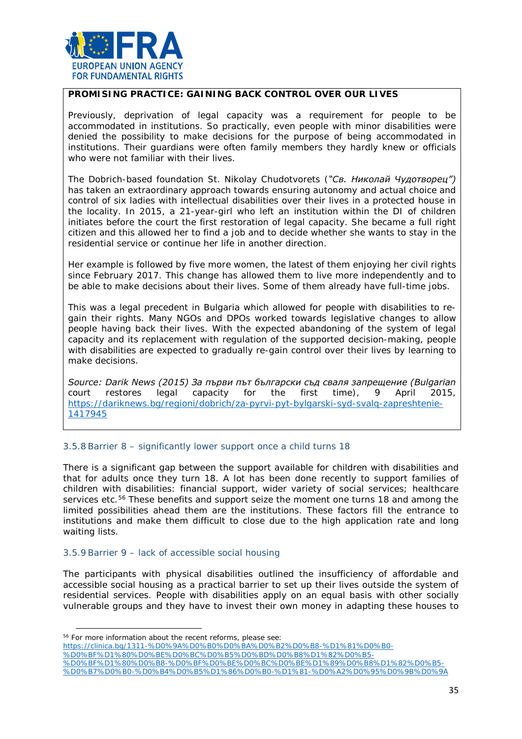

#### **PROMISING PRACTICE: GAINING BACK CONTROL OVER OUR LIVES**

Previously, deprivation of legal capacity was a requirement for people to be accommodated in institutions. So practically, even people with minor disabilities were denied the possibility to make decisions for the purpose of being accommodated in institutions. Their guardians were often family members they hardly knew or officials who were not familiar with their lives.

The Dobrich-based foundation St. Nikolay Chudotvorets (*"Св. Николай Чудотворец")* has taken an extraordinary approach towards ensuring autonomy and actual choice and control of six ladies with intellectual disabilities over their lives in a protected house in the locality. In 2015, a 21-year-girl who left an institution within the DI of children initiates before the court the first restoration of legal capacity. She became a full right citizen and this allowed her to find a job and to decide whether she wants to stay in the residential service or continue her life in another direction.

Her example is followed by five more women, the latest of them enjoying her civil rights since February 2017. This change has allowed them to live more independently and to be able to make decisions about their lives. Some of them already have full-time jobs.

This was a legal precedent in Bulgaria which allowed for people with disabilities to regain their rights. Many NGOs and DPOs worked towards legislative changes to allow people having back their lives. With the expected abandoning of the system of legal capacity and its replacement with regulation of the supported decision-making, people with disabilities are expected to gradually re-gain control over their lives by learning to make decisions.

*Source: Darik News (2015) За първи път български съд сваля запрещение (Bulgarian court restores legal capacity for the first time), 9 April 2015, [https://dariknews.bg/regioni/dobrich/za-pyrvi-pyt-bylgarski-syd-svalq-zapreshtenie-](https://dariknews.bg/regioni/dobrich/za-pyrvi-pyt-bylgarski-syd-svalq-zapreshtenie-1417945)[1417945](https://dariknews.bg/regioni/dobrich/za-pyrvi-pyt-bylgarski-syd-svalq-zapreshtenie-1417945)*

#### 3.5.8 Barrier 8 – significantly lower support once a child turns 18

There is a significant gap between the support available for children with disabilities and that for adults once they turn 18. A lot has been done recently to support families of children with disabilities: financial support, wider variety of social services; healthcare services etc.<sup>[56](#page-34-0)</sup> These benefits and support seize the moment one turns 18 and among the limited possibilities ahead them are the institutions. These factors fill the entrance to institutions and make them difficult to close due to the high application rate and long waiting lists.

#### 3.5.9 Barrier 9 – lack of accessible social housing

The participants with physical disabilities outlined the insufficiency of affordable and accessible social housing as a practical barrier to set up their lives outside the system of residential services. People with disabilities apply on an equal basis with other socially vulnerable groups and they have to invest their own money in adapting these houses to

l

[%D0%BF%D1%80%D0%BE%D0%BC%D0%B5%D0%BD%D0%B8%D1%82%D0%B5-](https://clinica.bg/1311-%D0%9A%D0%B0%D0%BA%D0%B2%D0%B8-%D1%81%D0%B0-%D0%BF%D1%80%D0%BE%D0%BC%D0%B5%D0%BD%D0%B8%D1%82%D0%B5-%D0%BF%D1%80%D0%B8-%D0%BF%D0%BE%D0%BC%D0%BE%D1%89%D0%B8%D1%82%D0%B5-%D0%B7%D0%B0-%D0%B4%D0%B5%D1%86%D0%B0-%D1%81-%D0%A2%D0%95%D0%9B%D0%9A)

<span id="page-34-0"></span><sup>&</sup>lt;sup>56</sup> For more information about the recent reforms, please see:

[https://clinica.bg/1311-%D0%9A%D0%B0%D0%BA%D0%B2%D0%B8-%D1%81%D0%B0-](https://clinica.bg/1311-%D0%9A%D0%B0%D0%BA%D0%B2%D0%B8-%D1%81%D0%B0-%D0%BF%D1%80%D0%BE%D0%BC%D0%B5%D0%BD%D0%B8%D1%82%D0%B5-%D0%BF%D1%80%D0%B8-%D0%BF%D0%BE%D0%BC%D0%BE%D1%89%D0%B8%D1%82%D0%B5-%D0%B7%D0%B0-%D0%B4%D0%B5%D1%86%D0%B0-%D1%81-%D0%A2%D0%95%D0%9B%D0%9A)

[<sup>%</sup>D0%BF%D1%80%D0%B8-%D0%BF%D0%BE%D0%BC%D0%BE%D1%89%D0%B8%D1%82%D0%B5-](https://clinica.bg/1311-%D0%9A%D0%B0%D0%BA%D0%B2%D0%B8-%D1%81%D0%B0-%D0%BF%D1%80%D0%BE%D0%BC%D0%B5%D0%BD%D0%B8%D1%82%D0%B5-%D0%BF%D1%80%D0%B8-%D0%BF%D0%BE%D0%BC%D0%BE%D1%89%D0%B8%D1%82%D0%B5-%D0%B7%D0%B0-%D0%B4%D0%B5%D1%86%D0%B0-%D1%81-%D0%A2%D0%95%D0%9B%D0%9A) [%D0%B7%D0%B0-%D0%B4%D0%B5%D1%86%D0%B0-%D1%81-%D0%A2%D0%95%D0%9B%D0%9A](https://clinica.bg/1311-%D0%9A%D0%B0%D0%BA%D0%B2%D0%B8-%D1%81%D0%B0-%D0%BF%D1%80%D0%BE%D0%BC%D0%B5%D0%BD%D0%B8%D1%82%D0%B5-%D0%BF%D1%80%D0%B8-%D0%BF%D0%BE%D0%BC%D0%BE%D1%89%D0%B8%D1%82%D0%B5-%D0%B7%D0%B0-%D0%B4%D0%B5%D1%86%D0%B0-%D1%81-%D0%A2%D0%95%D0%9B%D0%9A)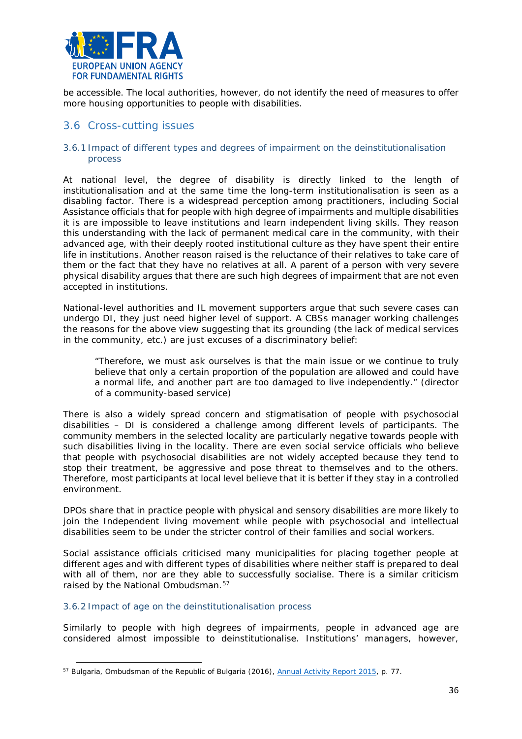

be accessible. The local authorities, however, do not identify the need of measures to offer more housing opportunities to people with disabilities.

# <span id="page-35-0"></span>3.6 Cross-cutting issues

#### 3.6.1 Impact of different types and degrees of impairment on the deinstitutionalisation process

At national level, the degree of disability is directly linked to the length of institutionalisation and at the same time the long-term institutionalisation is seen as a disabling factor. There is a widespread perception among practitioners, including Social Assistance officials that for people with high degree of impairments and multiple disabilities it is are impossible to leave institutions and learn independent living skills. They reason this understanding with the lack of permanent medical care in the community, with their advanced age, with their deeply rooted institutional culture as they have spent their entire life in institutions. Another reason raised is the reluctance of their relatives to take care of them or the fact that they have no relatives at all. A parent of a person with very severe physical disability argues that there are such high degrees of impairment that are not even accepted in institutions.

National-level authorities and IL movement supporters argue that such severe cases can undergo DI, they just need higher level of support. A CBSs manager working challenges the reasons for the above view suggesting that its grounding (the lack of medical services in the community, etc.) are just excuses of a discriminatory belief:

"*Therefore, we must ask ourselves is that the main issue or we continue to truly believe that only a certain proportion of the population are allowed and could have a normal life, and another part are too damaged to live independently.*" (director of a community-based service)

There is also a widely spread concern and stigmatisation of people with psychosocial disabilities – DI is considered a challenge among different levels of participants. The community members in the selected locality are particularly negative towards people with such disabilities living in the locality. There are even social service officials who believe that people with psychosocial disabilities are not widely accepted because they tend to stop their treatment, be aggressive and pose threat to themselves and to the others. Therefore, most participants at local level believe that it is better if they stay in a controlled environment.

DPOs share that in practice people with physical and sensory disabilities are more likely to join the Independent living movement while people with psychosocial and intellectual disabilities seem to be under the stricter control of their families and social workers.

Social assistance officials criticised many municipalities for placing together people at different ages and with different types of disabilities where neither staff is prepared to deal with all of them, nor are they able to successfully socialise. There is a similar criticism raised by the National Ombudsman.<sup>[57](#page-35-1)</sup>

#### 3.6.2 Impact of age on the deinstitutionalisation process

 $\overline{a}$ 

Similarly to people with high degrees of impairments, people in advanced age are considered almost impossible to deinstitutionalise. Institutions' managers, however,

<span id="page-35-1"></span><sup>57</sup> Bulgaria, Ombudsman of the Republic of Bulgaria (2016), *[Annual Activity Report 2015](http://www.ombudsman.bg/pictures/Report_NPM_2015_Final_Edited.pdf)*, p. 77.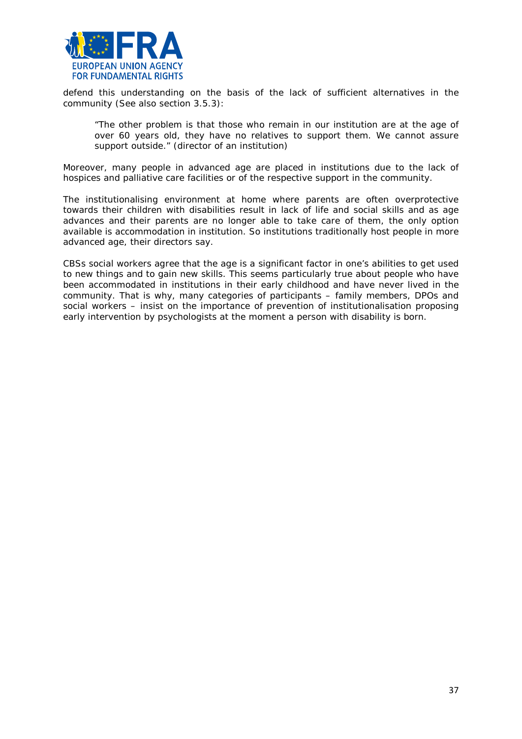

defend this understanding on the basis of the lack of sufficient alternatives in the community (See also section 3.5.3):

"*The other problem is that those who remain in our institution are at the age of over 60 years old, they have no relatives to support them. We cannot assure support outside.*" (director of an institution)

Moreover, many people in advanced age are placed in institutions due to the lack of hospices and palliative care facilities or of the respective support in the community.

The institutionalising environment at home where parents are often overprotective towards their children with disabilities result in lack of life and social skills and as age advances and their parents are no longer able to take care of them, the only option available is accommodation in institution. So institutions traditionally host people in more advanced age, their directors say.

CBSs social workers agree that the age is a significant factor in one's abilities to get used to new things and to gain new skills. This seems particularly true about people who have been accommodated in institutions in their early childhood and have never lived in the community. That is why, many categories of participants – family members, DPOs and social workers – insist on the importance of prevention of institutionalisation proposing early intervention by psychologists at the moment a person with disability is born.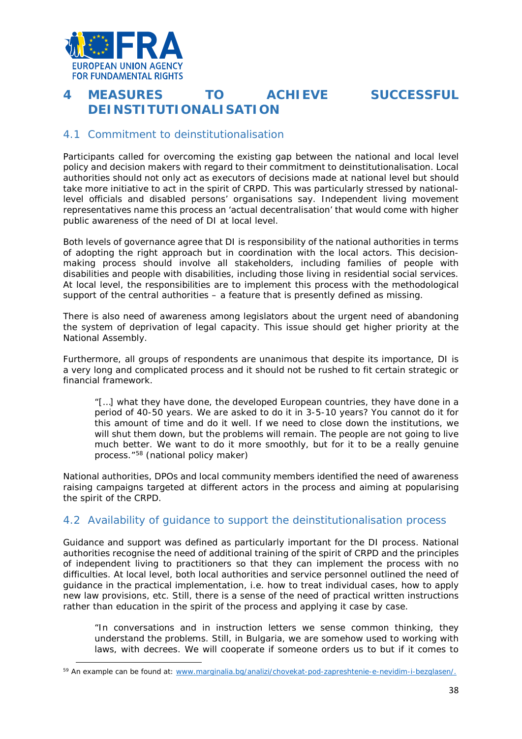

# <span id="page-37-0"></span>**4 MEASURES TO ACHIEVE SUCCESSFUL DEINSTITUTIONALISATION**



# <span id="page-37-1"></span>4.1 Commitment to deinstitutionalisation

Participants called for overcoming the existing gap between the national and local level policy and decision makers with regard to their commitment to deinstitutionalisation. Local authorities should not only act as executors of decisions made at national level but should take more initiative to act in the spirit of CRPD. This was particularly stressed by nationallevel officials and disabled persons' organisations say. Independent living movement representatives name this process an 'actual decentralisation' that would come with higher public awareness of the need of DI at local level.

Both levels of governance agree that DI is responsibility of the national authorities in terms of adopting the right approach but in coordination with the local actors. This decisionmaking process should involve all stakeholders, including families of people with disabilities and people with disabilities, including those living in residential social services. At local level, the responsibilities are to implement this process with the methodological support of the central authorities – a feature that is presently defined as missing.

There is also need of awareness among legislators about the urgent need of abandoning the system of deprivation of legal capacity. This issue should get higher priority at the National Assembly.

Furthermore, all groups of respondents are unanimous that despite its importance, DI is a very long and complicated process and it should not be rushed to fit certain strategic or financial framework.

*"[…] what they have done, the developed European countries, they have done in a period of 40-50 years. We are asked to do it in 3-5-10 years? You cannot do it for this amount of time and do it well. If we need to close down the institutions, we will shut them down, but the problems will remain. The people are not going to live much better. We want to do it more smoothly, but for it to be a really genuine process."[58](#page-37-3)* (national policy maker)

National authorities, DPOs and local community members identified the need of awareness raising campaigns targeted at different actors in the process and aiming at popularising the spirit of the CRPD.

# <span id="page-37-2"></span>4.2 Availability of guidance to support the deinstitutionalisation process

Guidance and support was defined as particularly important for the DI process. National authorities recognise the need of additional training of the spirit of CRPD and the principles of independent living to practitioners so that they can implement the process with no difficulties. At local level, both local authorities and service personnel outlined the need of guidance in the practical implementation, i.e. how to treat individual cases, how to apply new law provisions, etc. Still, there is a sense of the need of practical written instructions rather than education in the spirit of the process and applying it case by case.

"*In conversations and in instruction letters we sense common thinking, they understand the problems. Still, in Bulgaria, we are somehow used to working with*  laws, with decrees. We will cooperate if someone orders us to but if it comes to

<span id="page-37-3"></span><sup>59</sup> An example can be found at: [www.marginalia.bg/analizi/chovekat-pod-zapreshtenie-e-nevidim-i-bezglasen/.](http://www.marginalia.bg/analizi/chovekat-pod-zapreshtenie-e-nevidim-i-bezglasen/)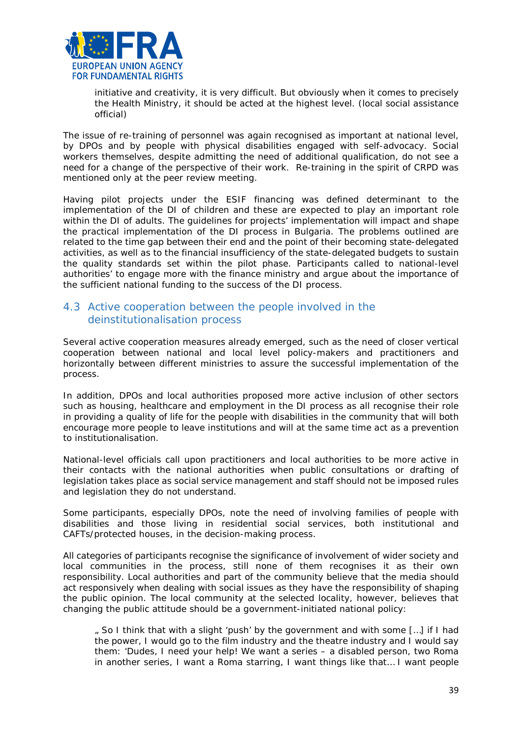

*initiative and creativity, it is very difficult. But obviously when it comes to precisely the Health Ministry, it should be acted at the highest level.* (local social assistance official)

The issue of re-training of personnel was again recognised as important at national level, by DPOs and by people with physical disabilities engaged with self-advocacy. Social workers themselves, despite admitting the need of additional qualification, do not see a need for a change of the perspective of their work. Re-training in the spirit of CRPD was mentioned only at the peer review meeting.

Having pilot projects under the ESIF financing was defined determinant to the implementation of the DI of children and these are expected to play an important role within the DI of adults. The guidelines for projects' implementation will impact and shape the practical implementation of the DI process in Bulgaria. The problems outlined are related to the time gap between their end and the point of their becoming state-delegated activities, as well as to the financial insufficiency of the state-delegated budgets to sustain the quality standards set within the pilot phase. Participants called to national-level authorities' to engage more with the finance ministry and argue about the importance of the sufficient national funding to the success of the DI process.

# <span id="page-38-0"></span>4.3 Active cooperation between the people involved in the deinstitutionalisation process

Several active cooperation measures already emerged, such as the need of closer vertical cooperation between national and local level policy-makers and practitioners and horizontally between different ministries to assure the successful implementation of the process.

In addition, DPOs and local authorities proposed more active inclusion of other sectors such as housing, healthcare and employment in the DI process as all recognise their role in providing a quality of life for the people with disabilities in the community that will both encourage more people to leave institutions and will at the same time act as a prevention to institutionalisation.

National-level officials call upon practitioners and local authorities to be more active in their contacts with the national authorities when public consultations or drafting of legislation takes place as social service management and staff should not be imposed rules and legislation they do not understand.

Some participants, especially DPOs, note the need of involving families of people with disabilities and those living in residential social services, both institutional and CAFTs/protected houses, in the decision-making process.

All categories of participants recognise the significance of involvement of wider society and local communities in the process, still none of them recognises it as their own responsibility. Local authorities and part of the community believe that the media should act responsively when dealing with social issues as they have the responsibility of shaping the public opinion. The local community at the selected locality, however, believes that changing the public attitude should be a government-initiated national policy:

*" So I think that with a slight 'push' by the government and with some […] if I had the power, I would go to the film industry and the theatre industry and I would say them: 'Dudes, I need your help! We want a series – a disabled person, two Roma in another series, I want a Roma starring, I want things like that… I want people*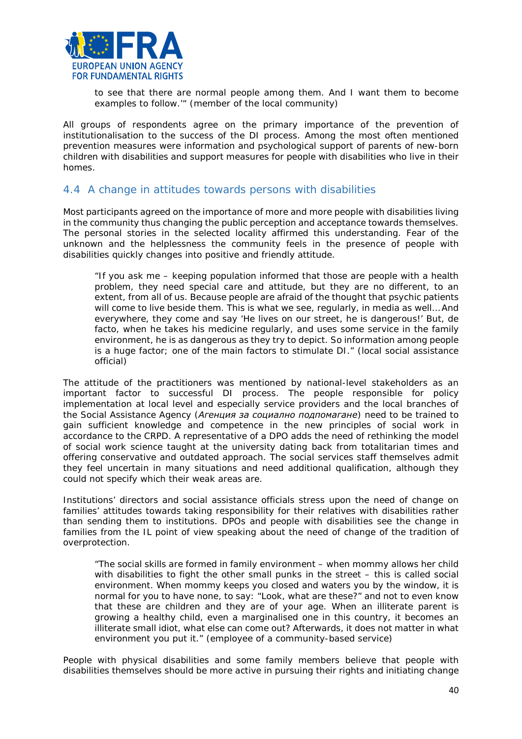

to see that there are normal people among them. And I want them to become *examples to follow.'"* (member of the local community)

All groups of respondents agree on the primary importance of the prevention of institutionalisation to the success of the DI process. Among the most often mentioned prevention measures were information and psychological support of parents of new-born children with disabilities and support measures for people with disabilities who live in their homes.

# <span id="page-39-0"></span>4.4 A change in attitudes towards persons with disabilities

Most participants agreed on the importance of more and more people with disabilities living in the community thus changing the public perception and acceptance towards themselves. The personal stories in the selected locality affirmed this understanding. Fear of the unknown and the helplessness the community feels in the presence of people with disabilities quickly changes into positive and friendly attitude.

"*If you ask me – keeping population informed that those are people with a health problem, they need special care and attitude, but they are no different, to an extent, from all of us. Because people are afraid of the thought that psychic patients will come to live beside them. This is what we see, regularly, in media as well… And everywhere, they come and say 'He lives on our street, he is dangerous!' But, de*  facto, when he takes his medicine regularly, and uses some service in the family *environment, he is as dangerous as they try to depict. So information among people is a huge factor; one of the main factors to stimulate DI."* (local social assistance official)

The attitude of the practitioners was mentioned by national-level stakeholders as an important factor to successful DI process. The people responsible for policy implementation at local level and especially service providers and the local branches of the Social Assistance Agency (*Агенция за социално подпомагане*) need to be trained to gain sufficient knowledge and competence in the new principles of social work in accordance to the CRPD. A representative of a DPO adds the need of rethinking the model of social work science taught at the university dating back from totalitarian times and offering conservative and outdated approach. The social services staff themselves admit they feel uncertain in many situations and need additional qualification, although they could not specify which their weak areas are.

Institutions' directors and social assistance officials stress upon the need of change on families' attitudes towards taking responsibility for their relatives with disabilities rather than sending them to institutions. DPOs and people with disabilities see the change in families from the IL point of view speaking about the need of change of the tradition of overprotection.

"*The social skills are formed in family environment – when mommy allows her child with disabilities to fight the other small punks in the street – this is called social environment. When mommy keeps you closed and waters you by the window, it is normal for you to have none, to say: "Look, what are these?" and not to even know that these are children and they are of your age. When an illiterate parent is growing a healthy child, even a marginalised one in this country, it becomes an illiterate small idiot, what else can come out? Afterwards, it does not matter in what environment you put it.*" (employee of a community-based service)

People with physical disabilities and some family members believe that people with disabilities themselves should be more active in pursuing their rights and initiating change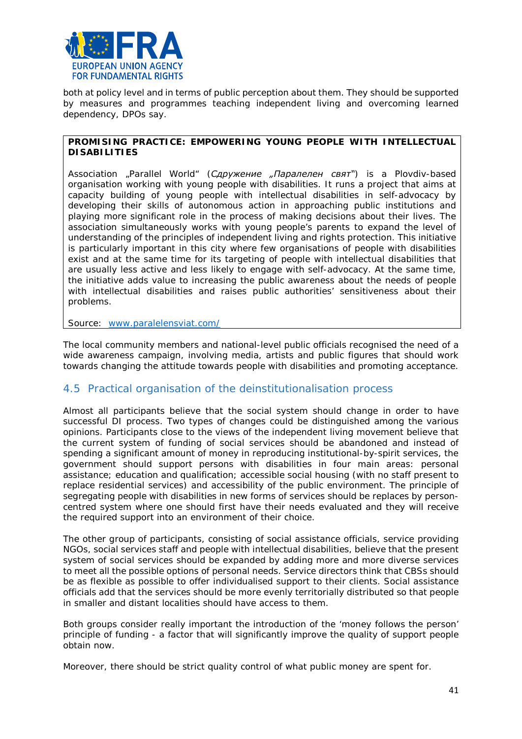

both at policy level and in terms of public perception about them. They should be supported by measures and programmes teaching independent living and overcoming learned dependency, DPOs say.

#### **PROMISING PRACTICE: EMPOWERING YOUNG PEOPLE WITH INTELLECTUAL DISABILITIES**

Association "Parallel World" (*Сдружение "Паралелен свят"*) is a Plovdiv-based organisation working with young people with disabilities. It runs a project that aims at capacity building of young people with intellectual disabilities in self-advocacy by developing their skills of autonomous action in approaching public institutions and playing more significant role in the process of making decisions about their lives. The association simultaneously works with young people's parents to expand the level of understanding of the principles of independent living and rights protection. This initiative is particularly important in this city where few organisations of people with disabilities exist and at the same time for its targeting of people with intellectual disabilities that are usually less active and less likely to engage with self-advocacy. At the same time, the initiative adds value to increasing the public awareness about the needs of people with intellectual disabilities and raises public authorities' sensitiveness about their problems.

Source: [www.paralelensviat.com/](http://www.paralelensviat.com/)

The local community members and national-level public officials recognised the need of a wide awareness campaign, involving media, artists and public figures that should work towards changing the attitude towards people with disabilities and promoting acceptance.

# <span id="page-40-0"></span>4.5 Practical organisation of the deinstitutionalisation process

Almost all participants believe that the social system should change in order to have successful DI process. Two types of changes could be distinguished among the various opinions. Participants close to the views of the independent living movement believe that the current system of funding of social services should be abandoned and instead of spending a significant amount of money in reproducing institutional-by-spirit services, the government should support persons with disabilities in four main areas: personal assistance; education and qualification; accessible social housing (with no staff present to replace residential services) and accessibility of the public environment. The principle of segregating people with disabilities in new forms of services should be replaces by personcentred system where one should first have their needs evaluated and they will receive the required support into an environment of their choice.

The other group of participants, consisting of social assistance officials, service providing NGOs, social services staff and people with intellectual disabilities, believe that the present system of social services should be expanded by adding more and more diverse services to meet all the possible options of personal needs. Service directors think that CBSs should be as flexible as possible to offer individualised support to their clients. Social assistance officials add that the services should be more evenly territorially distributed so that people in smaller and distant localities should have access to them.

Both groups consider really important the introduction of the 'money follows the person' principle of funding - a factor that will significantly improve the quality of support people obtain now.

Moreover, there should be strict quality control of what public money are spent for.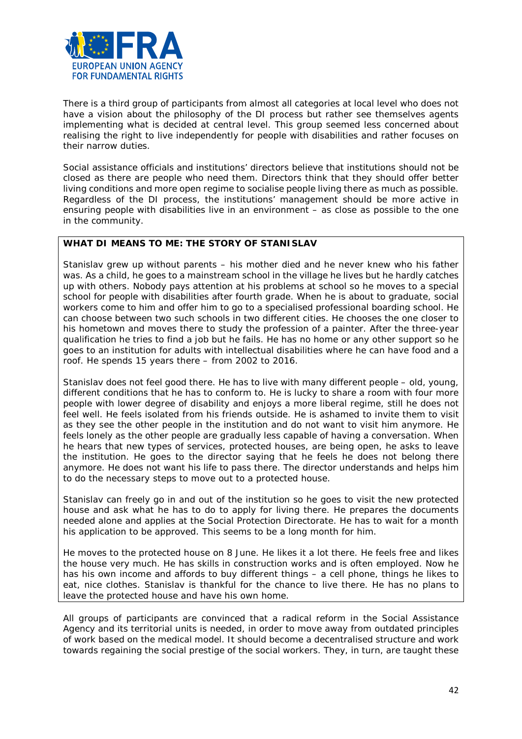

There is a third group of participants from almost all categories at local level who does not have a vision about the philosophy of the DI process but rather see themselves agents implementing what is decided at central level. This group seemed less concerned about realising the right to live independently for people with disabilities and rather focuses on their narrow duties.

Social assistance officials and institutions' directors believe that institutions should not be closed as there are people who need them. Directors think that they should offer better living conditions and more open regime to socialise people living there as much as possible. Regardless of the DI process, the institutions' management should be more active in ensuring people with disabilities live in an environment – as close as possible to the one in the community.

#### **WHAT DI MEANS TO ME: THE STORY OF STANISLAV**

Stanislav grew up without parents – his mother died and he never knew who his father was. As a child, he goes to a mainstream school in the village he lives but he hardly catches up with others. Nobody pays attention at his problems at school so he moves to a special school for people with disabilities after fourth grade. When he is about to graduate, social workers come to him and offer him to go to a specialised professional boarding school. He can choose between two such schools in two different cities. He chooses the one closer to his hometown and moves there to study the profession of a painter. After the three-year qualification he tries to find a job but he fails. He has no home or any other support so he goes to an institution for adults with intellectual disabilities where he can have food and a roof. He spends 15 years there – from 2002 to 2016.

Stanislav does not feel good there. He has to live with many different people – old, young, different conditions that he has to conform to. He is lucky to share a room with four more people with lower degree of disability and enjoys a more liberal regime, still he does not feel well. He feels isolated from his friends outside. He is ashamed to invite them to visit as they see the other people in the institution and do not want to visit him anymore. He feels lonely as the other people are gradually less capable of having a conversation. When he hears that new types of services, protected houses, are being open, he asks to leave the institution. He goes to the director saying that he feels he does not belong there anymore. He does not want his life to pass there. The director understands and helps him to do the necessary steps to move out to a protected house.

Stanislav can freely go in and out of the institution so he goes to visit the new protected house and ask what he has to do to apply for living there. He prepares the documents needed alone and applies at the Social Protection Directorate. He has to wait for a month his application to be approved. This seems to be a long month for him.

He moves to the protected house on 8 June. He likes it a lot there. He feels free and likes the house very much. He has skills in construction works and is often employed. Now he has his own income and affords to buy different things – a cell phone, things he likes to eat, nice clothes. Stanislav is thankful for the chance to live there. He has no plans to leave the protected house and have his own home.

All groups of participants are convinced that a radical reform in the Social Assistance Agency and its territorial units is needed, in order to move away from outdated principles of work based on the medical model. It should become a decentralised structure and work towards regaining the social prestige of the social workers. They, in turn, are taught these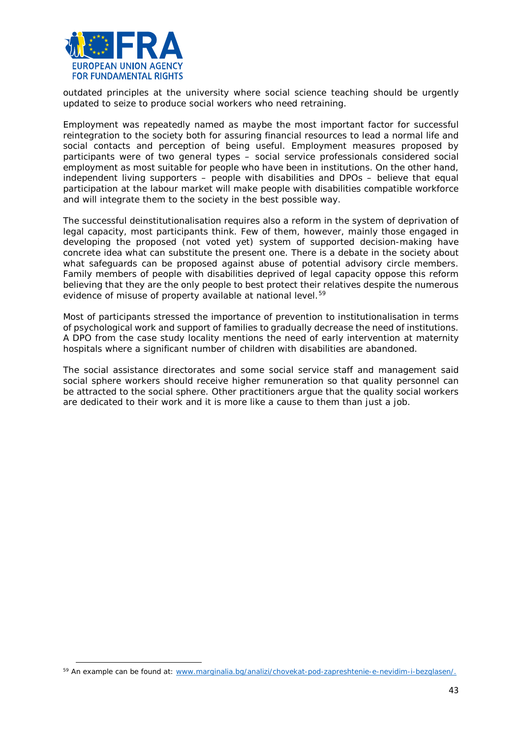

outdated principles at the university where social science teaching should be urgently updated to seize to produce social workers who need retraining.

Employment was repeatedly named as maybe the most important factor for successful reintegration to the society both for assuring financial resources to lead a normal life and social contacts and perception of being useful. Employment measures proposed by participants were of two general types – social service professionals considered social employment as most suitable for people who have been in institutions. On the other hand, independent living supporters – people with disabilities and DPOs – believe that equal participation at the labour market will make people with disabilities compatible workforce and will integrate them to the society in the best possible way.

The successful deinstitutionalisation requires also a reform in the system of deprivation of legal capacity, most participants think. Few of them, however, mainly those engaged in developing the proposed (not voted yet) system of supported decision-making have concrete idea what can substitute the present one. There is a debate in the society about what safeguards can be proposed against abuse of potential advisory circle members. Family members of people with disabilities deprived of legal capacity oppose this reform believing that they are the only people to best protect their relatives despite the numerous evidence of misuse of property available at national level.<sup>59</sup>

Most of participants stressed the importance of prevention to institutionalisation in terms of psychological work and support of families to gradually decrease the need of institutions. A DPO from the case study locality mentions the need of early intervention at maternity hospitals where a significant number of children with disabilities are abandoned.

The social assistance directorates and some social service staff and management said social sphere workers should receive higher remuneration so that quality personnel can be attracted to the social sphere. Other practitioners argue that the quality social workers are dedicated to their work and it is more like a cause to them than just a job.

<span id="page-42-0"></span><sup>59</sup> An example can be found at: [www.marginalia.bg/analizi/chovekat-pod-zapreshtenie-e-nevidim-i-bezglasen/.](http://www.marginalia.bg/analizi/chovekat-pod-zapreshtenie-e-nevidim-i-bezglasen/)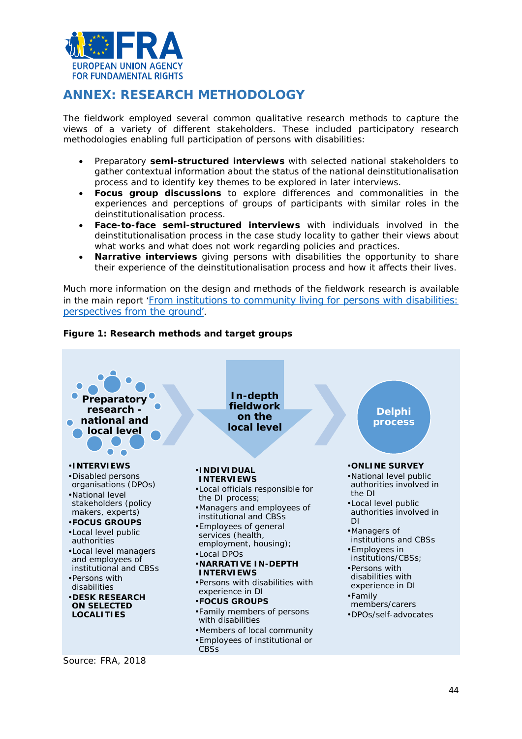

# <span id="page-43-0"></span>**ANNEX: RESEARCH METHODOLOGY**

The fieldwork employed several common qualitative research methods to capture the views of a variety of different stakeholders. These included participatory research methodologies enabling full participation of persons with disabilities:

- Preparatory **semi-structured interviews** with selected national stakeholders to gather contextual information about the status of the national deinstitutionalisation process and to identify key themes to be explored in later interviews.
- **Focus group discussions** to explore differences and commonalities in the experiences and perceptions of groups of participants with similar roles in the deinstitutionalisation process.
- **Face-to-face semi-structured interviews** with individuals involved in the deinstitutionalisation process in the case study locality to gather their views about what works and what does not work regarding policies and practices.
- **Narrative interviews** giving persons with disabilities the opportunity to share their experience of the deinstitutionalisation process and how it affects their lives.

Much more information on the design and methods of the fieldwork research is available in the main report ['From institutions to community living for persons with disabilities:](http://fra.europa.eu/en/publication/2018/independent-living-reality)  [perspectives from the ground'](http://fra.europa.eu/en/publication/2018/independent-living-reality).

# **Figure 1: Research methods and target groups**